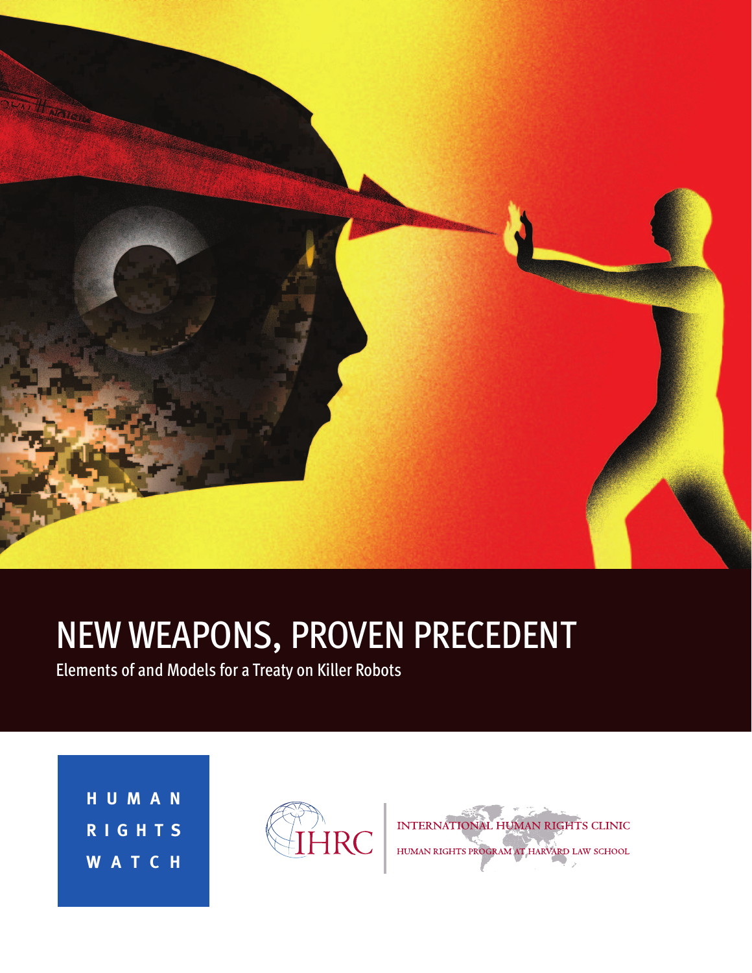

# **NEW WEAPONS, PROVEN PRECEDENT**<br>Elements of and Models for a Treaty on Killer Robots

**HUMAN RIGHT S WATCH** 



INTERNATIONAL HUMAN RIGHTS CLINIC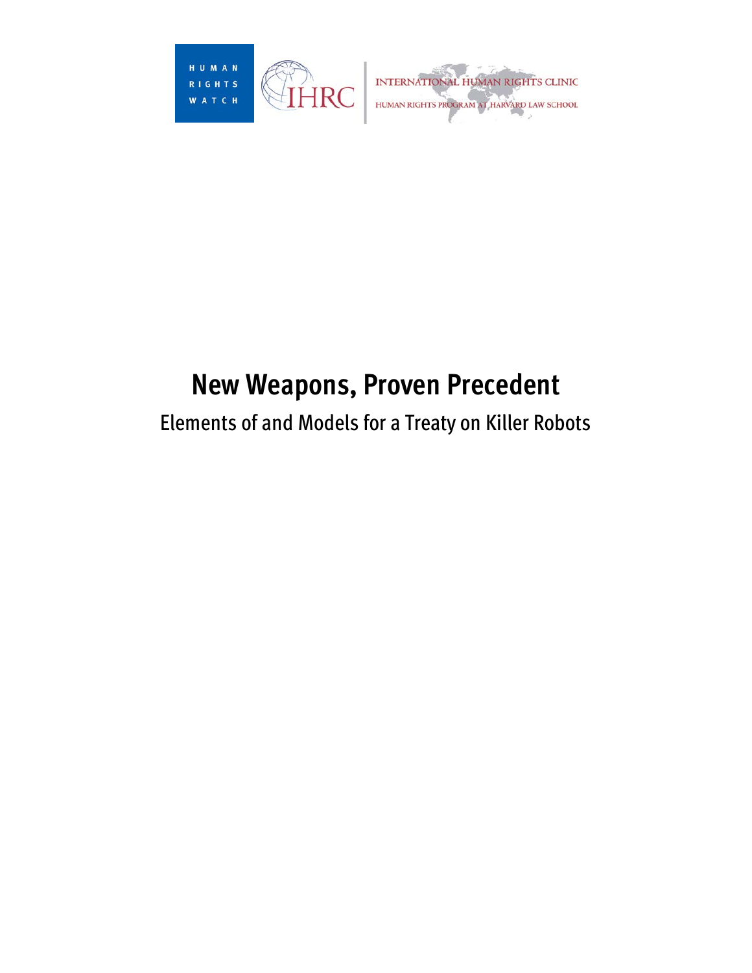

# **New Weapons, Proven Precedent**

# Elements of and Models for a Treaty on Killer Robots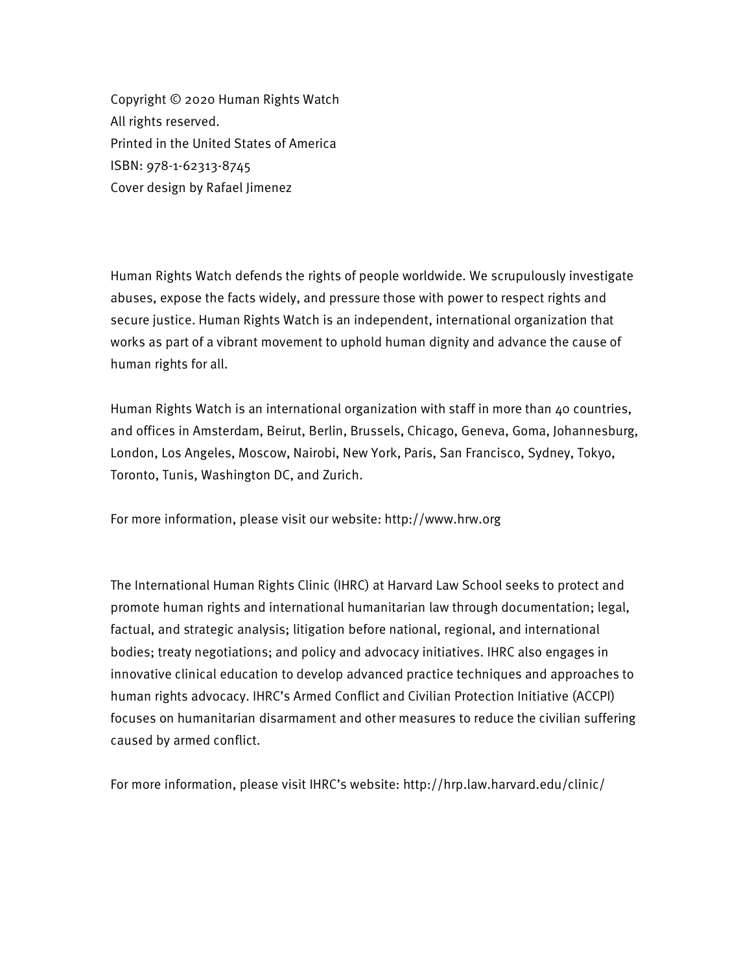Printed in the United States of America Copyright © 2020 Human Rights Watch All rights reserved. ISBN: 978-1-62313-8745 Cover design by Rafael Jimenez

 works as part of a vibrant movement to uphold human dignity and advance the cause of Human Rights Watch defends the rights of people worldwide. We scrupulously investigate abuses, expose the facts widely, and pressure those with power to respect rights and secure justice. Human Rights Watch is an independent, international organization that human rights for all.

Human Rights Watch is an international organization with staff in more than 40 countries, and offices in Amsterdam, Beirut, Berlin, Brussels, Chicago, Geneva, Goma, Johannesburg, London, Los Angeles, Moscow, Nairobi, New York, Paris, San Francisco, Sydney, Tokyo, Toronto, Tunis, Washington DC, and Zurich.

For more information, please visit our website: http://www.hrw.org

 innovative clinical education to develop advanced practice techniques and approaches to caused by armed conflict. The International Human Rights Clinic (IHRC) at Harvard Law School seeks to protect and promote human rights and international humanitarian law through documentation; legal, factual, and strategic analysis; litigation before national, regional, and international bodies; treaty negotiations; and policy and advocacy initiatives. IHRC also engages in human rights advocacy. IHRC's Armed Conflict and Civilian Protection Initiative (ACCPI) focuses on humanitarian disarmament and other measures to reduce the civilian suffering

For more information, please visit IHRC's website: http://hrp.law.harvard.edu/clinic/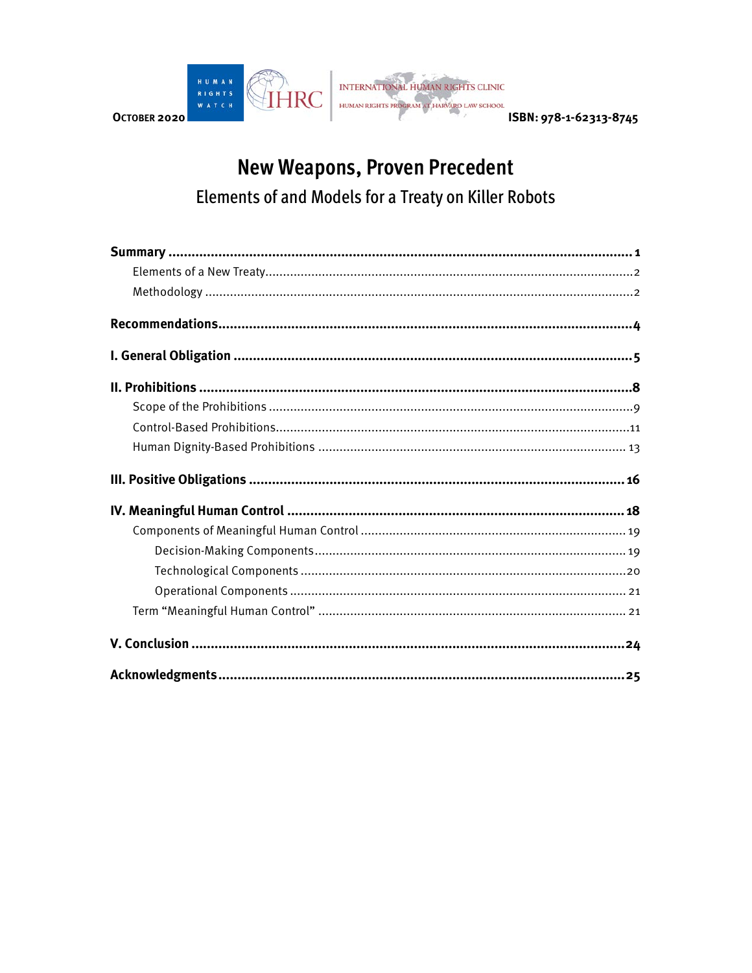

# **New Weapons, Proven Precedent** Elements of and Models for a Treaty on Killer Robots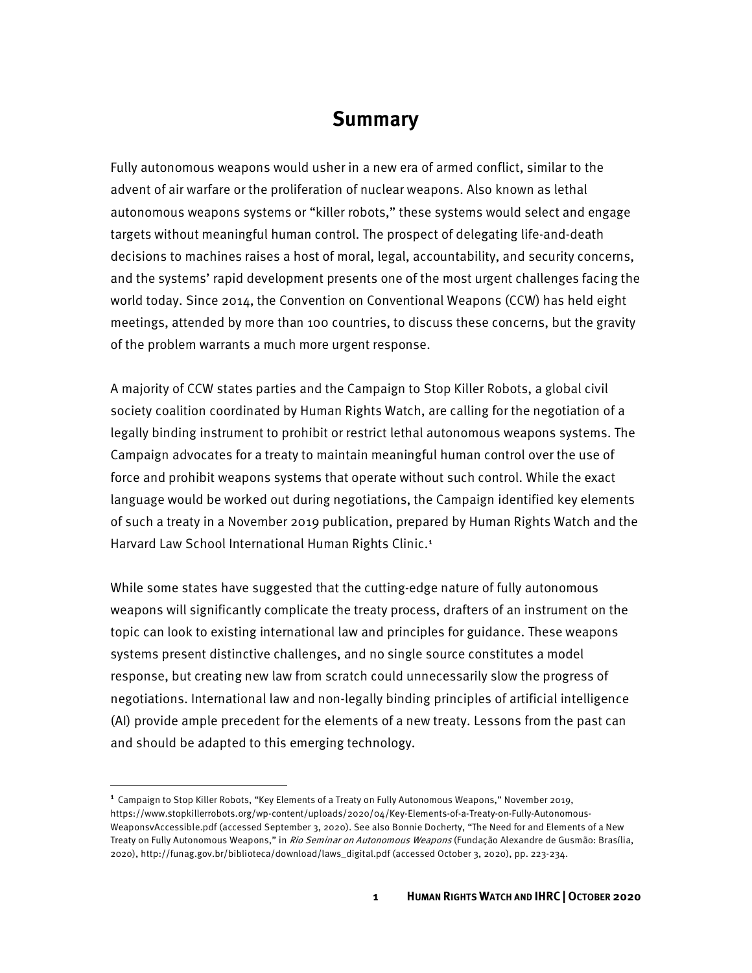### **Summary**

<span id="page-5-0"></span> world today. Since 2014, the Convention on Conventional Weapons (CCW) has held eight meetings, attended by more than 100 countries, to discuss these concerns, but the gravity of the problem warrants a much more urgent response. Fully autonomous weapons would usher in a new era of armed conflict, similar to the advent of air warfare or the proliferation of nuclear weapons. Also known as lethal autonomous weapons systems or "killer robots," these systems would select and engage targets without meaningful human control. The prospect of delegating life-and-death decisions to machines raises a host of moral, legal, accountability, and security concerns, and the systems' rapid development presents one of the most urgent challenges facing the

 legally binding instrument to prohibit or restrict lethal autonomous weapons systems. The language would be worked out during negotiations, the Campaign identified key elements A majority of CCW states parties and the Campaign to Stop Killer Robots, a global civil society coalition coordinated by Human Rights Watch, are calling for the negotiation of a Campaign advocates for a treaty to maintain meaningful human control over the use of force and prohibit weapons systems that operate without such control. While the exact of such a treaty in a November 2019 publication, prepared by Human Rights Watch and the Harvard Law School International Human Rights Clinic.<sup>[1](#page-5-1)</sup>

 topic can look to existing international law and principles for guidance. These weapons and should be adapted to this emerging technology. While some states have suggested that the cutting-edge nature of fully autonomous weapons will significantly complicate the treaty process, drafters of an instrument on the systems present distinctive challenges, and no single source constitutes a model response, but creating new law from scratch could unnecessarily slow the progress of negotiations. International law and non-legally binding principles of artificial intelligence (AI) provide ample precedent for the elements of a new treaty. Lessons from the past can

<span id="page-5-1"></span>Treaty on Fully Autonomous Weapons," in *Rio Seminar on Autonomous Weapons* (Fundação Alexandre de Gusmão: Brasília, <sup>1</sup> Campaign to Stop Killer Robots, "Key Elements of a Treaty on Fully Autonomous Weapons," November 2019, https://www.stopkillerrobots.org/wp-content/uploads/2020/04/Key-Elements-of-a-Treaty-on-Fully-Autonomous-WeaponsvAccessible.pdf (accessed September 3, 2020). See also Bonnie Docherty, "The Need for and Elements of a New 2020), http://funag.gov.br/biblioteca/download/laws\_digital.pdf (accessed October 3, 2020), pp. 223-234.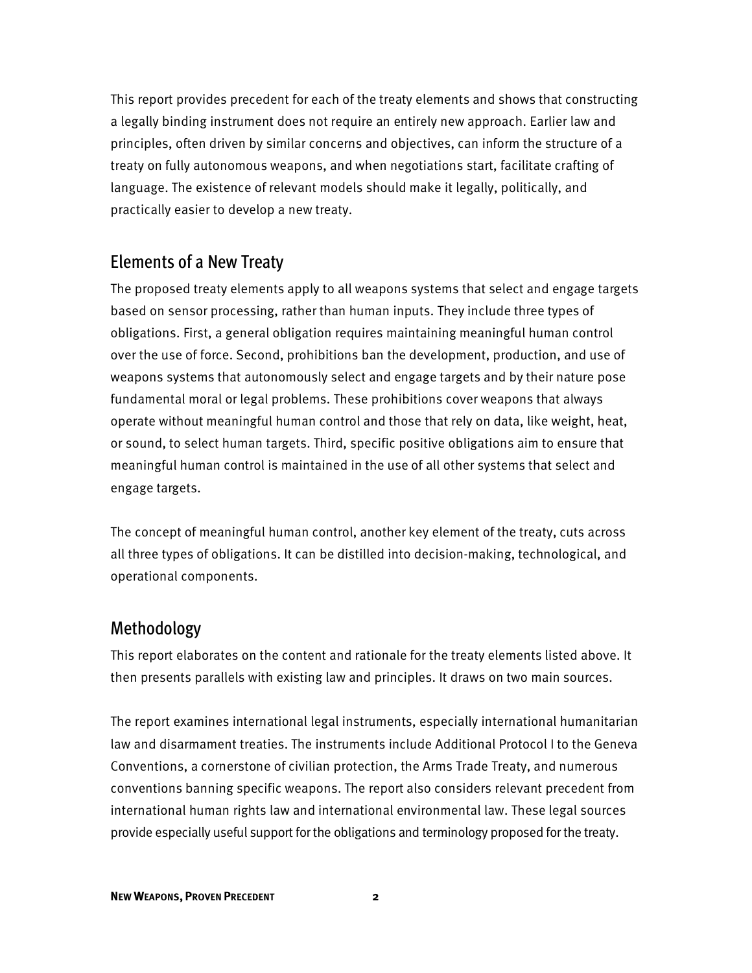a legally binding instrument does not require an entirely new approach. Earlier law and principles, often driven by similar concerns and objectives, can inform the structure of a treaty on fully autonomous weapons, and when negotiations start, facilitate crafting of This report provides precedent for each of the treaty elements and shows that constructing language. The existence of relevant models should make it legally, politically, and practically easier to develop a new treaty.

#### Elements of a New Treaty

 based on sensor processing, rather than human inputs. They include three types of fundamental moral or legal problems. These prohibitions cover weapons that always operate without meaningful human control and those that rely on data, like weight, heat, The proposed treaty elements apply to all weapons systems that select and engage targets obligations. First, a general obligation requires maintaining meaningful human control over the use of force. Second, prohibitions ban the development, production, and use of weapons systems that autonomously select and engage targets and by their nature pose or sound, to select human targets. Third, specific positive obligations aim to ensure that meaningful human control is maintained in the use of all other systems that select and engage targets.

 The concept of meaningful human control, another key element of the treaty, cuts across all three types of obligations. It can be distilled into decision-making, technological, and operational components.

#### Methodology

This report elaborates on the content and rationale for the treaty elements listed above. It then presents parallels with existing law and principles. It draws on two main sources.

 Conventions, a cornerstone of civilian protection, the Arms Trade Treaty, and numerous provide especially useful support for the obligations and terminology proposed for the treaty. The report examines international legal instruments, especially international humanitarian law and disarmament treaties. The instruments include Additional Protocol I to the Geneva conventions banning specific weapons. The report also considers relevant precedent from international human rights law and international environmental law. These legal sources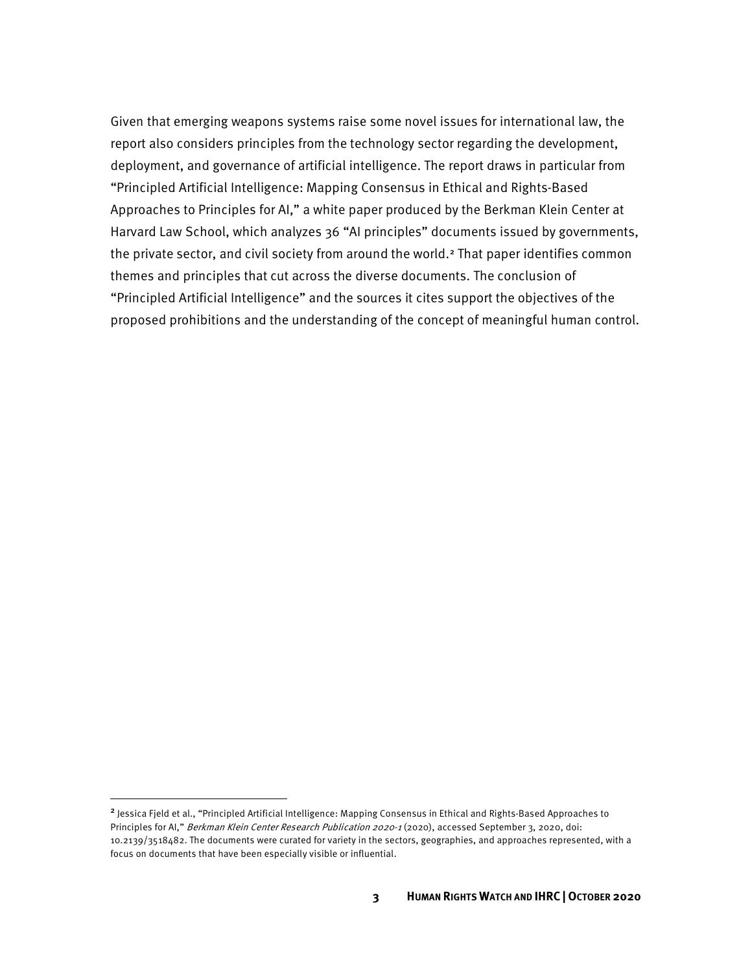report also considers principles from the technology sector regarding the development, Harvard Law School, which analyzes 36 "AI principles" documents issued by governments, the private sector, and civil society from around the world.<sup>[2](#page-7-0)</sup> That paper identifies common "Principled Artificial Intelligence" and the sources it cites support the objectives of the Given that emerging weapons systems raise some novel issues for international law, the deployment, and governance of artificial intelligence. The report draws in particular from "Principled Artificial Intelligence: Mapping Consensus in Ethical and Rights-Based Approaches to Principles for AI," a white paper produced by the Berkman Klein Center at themes and principles that cut across the diverse documents. The conclusion of proposed prohibitions and the understanding of the concept of meaningful human control.

<span id="page-7-0"></span> focus on documents that have been especially visible or influential. <sup>2</sup> Jessica Fjeld et al., "Principled Artificial Intelligence: Mapping Consensus in Ethical and Rights-Based Approaches to Principles for AI," Berkman Klein Center Research Publication 2020-1 (2020), accessed September 3, 2020, doi: 10.2139/3518482. The documents were curated for variety in the sectors, geographies, and approaches represented, with a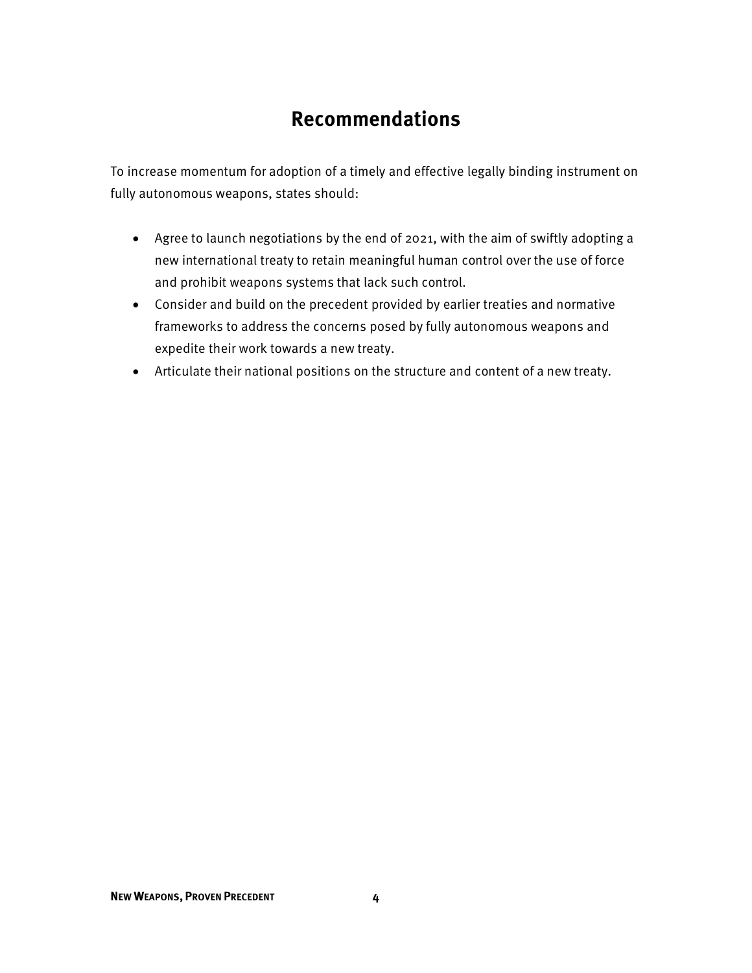# **Recommendations**

To increase momentum for adoption of a timely and effective legally binding instrument on fully autonomous weapons, states should:

- Agree to launch negotiations by the end of 2021, with the aim of swiftly adopting a new international treaty to retain meaningful human control over the use of force and prohibit weapons systems that lack such control.
- • Consider and build on the precedent provided by earlier treaties and normative frameworks to address the concerns posed by fully autonomous weapons and expedite their work towards a new treaty.
- Articulate their national positions on the structure and content of a new treaty.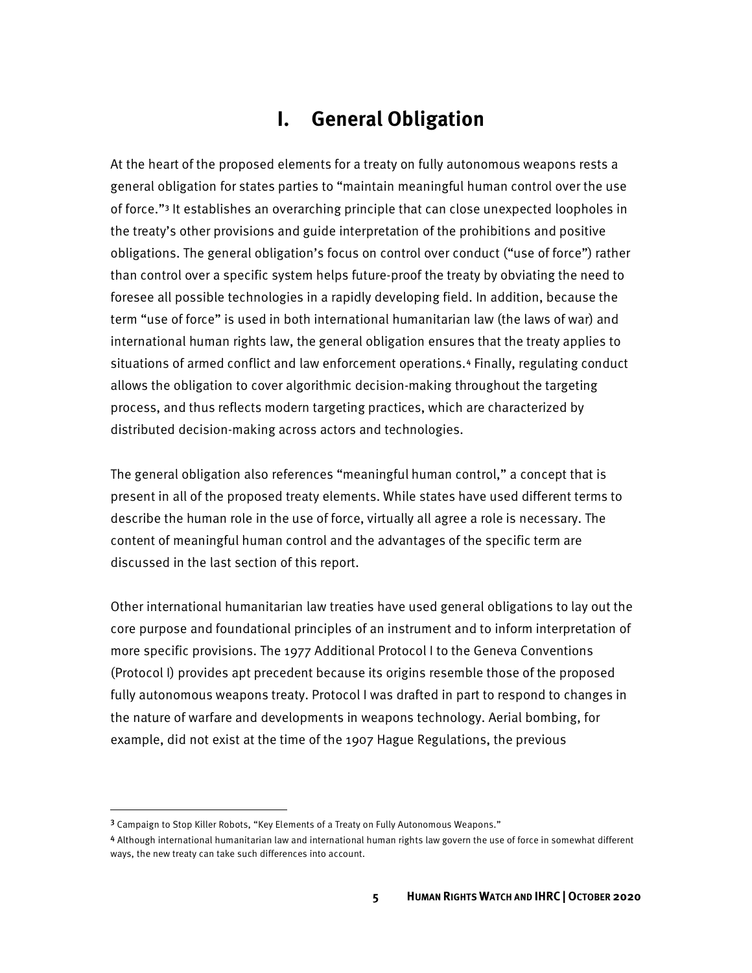# **I. General Obligation**

 At the heart of the proposed elements for a treaty on fully autonomous weapons rests a than control over a specific system helps future-proof the treaty by obviating the need to process, and thus reflects modern targeting practices, which are characterized by general obligation for states parties to "maintain meaningful human control over the use of force."<sup>3</sup> It establishes an overarching principle that can close unexpected loopholes in the treaty's other provisions and guide interpretation of the prohibitions and positive obligations. The general obligation's focus on control over conduct ("use of force") rather foresee all possible technologies in a rapidly developing field. In addition, because the term "use of force" is used in both international humanitarian law (the laws of war) and international human rights law, the general obligation ensures that the treaty applies to situations of armed conflict and law enforcement operations.[4](#page-9-1) Finally, regulating conduct allows the obligation to cover algorithmic decision-making throughout the targeting distributed decision-making across actors and technologies.

 present in all of the proposed treaty elements. While states have used different terms to describe the human role in the use of force, virtually all agree a role is necessary. The discussed in the last section of this report. The general obligation also references "meaningful human control," a concept that is content of meaningful human control and the advantages of the specific term are

 fully autonomous weapons treaty. Protocol I was drafted in part to respond to changes in Other international humanitarian law treaties have used general obligations to lay out the core purpose and foundational principles of an instrument and to inform interpretation of more specific provisions. The 1977 Additional Protocol I to the Geneva Conventions (Protocol I) provides apt precedent because its origins resemble those of the proposed the nature of warfare and developments in weapons technology. Aerial bombing, for example, did not exist at the time of the 1907 Hague Regulations, the previous

<span id="page-9-0"></span><sup>3</sup> Campaign to Stop Killer Robots, "Key Elements of a Treaty on Fully Autonomous Weapons."

<span id="page-9-1"></span><sup>4</sup> Although international humanitarian law and international human rights law govern the use of force in somewhat different ways, the new treaty can take such differences into account.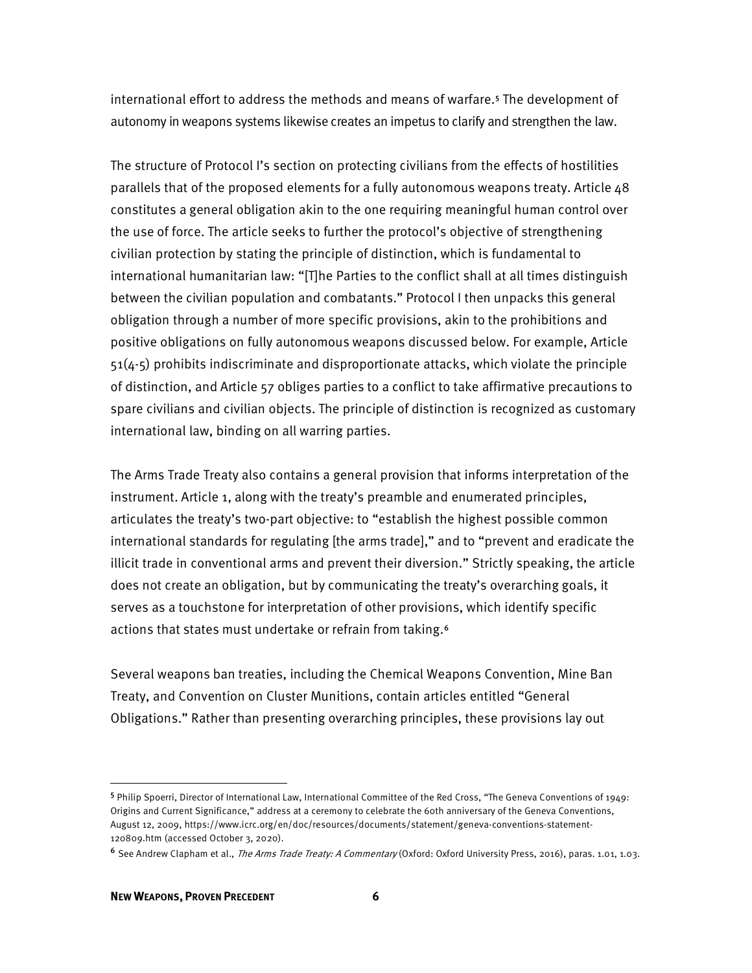autonomy in weapons systems likewise creates an impetus to clarify and strengthen the law. international effort to address the methods and means of warfare.[5](#page-10-0) The development of

 parallels that of the proposed elements for a fully autonomous weapons treaty. Article 48 positive obligations on fully autonomous weapons discussed below. For example, Article The structure of Protocol I's section on protecting civilians from the effects of hostilities constitutes a general obligation akin to the one requiring meaningful human control over the use of force. The article seeks to further the protocol's objective of strengthening civilian protection by stating the principle of distinction, which is fundamental to international humanitarian law: "[T]he Parties to the conflict shall at all times distinguish between the civilian population and combatants." Protocol I then unpacks this general obligation through a number of more specific provisions, akin to the prohibitions and 51(4-5) prohibits indiscriminate and disproportionate attacks, which violate the principle of distinction, and Article 57 obliges parties to a conflict to take affirmative precautions to spare civilians and civilian objects. The principle of distinction is recognized as customary international law, binding on all warring parties.

 illicit trade in conventional arms and prevent their diversion." Strictly speaking, the article does not create an obligation, but by communicating the treaty's overarching goals, it actions that states must undertake or refrain from taking.<sup>[6](#page-10-1)</sup> The Arms Trade Treaty also contains a general provision that informs interpretation of the instrument. Article 1, along with the treaty's preamble and enumerated principles, articulates the treaty's two-part objective: to "establish the highest possible common international standards for regulating [the arms trade]," and to "prevent and eradicate the serves as a touchstone for interpretation of other provisions, which identify specific

Several weapons ban treaties, including the Chemical Weapons Convention, Mine Ban Treaty, and Convention on Cluster Munitions, contain articles entitled "General Obligations." Rather than presenting overarching principles, these provisions lay out

<span id="page-10-0"></span> Origins and Current Significance," address at a ceremony to celebrate the 60th anniversary of the Geneva Conventions, 120809.htm (accessed October 3, 2020). <sup>5</sup> Philip Spoerri, Director of International Law, International Committee of the Red Cross, "The Geneva Conventions of 1949: August 12, 2009, https://www.icrc.org/en/doc/resources/documents/statement/geneva-conventions-statement-

<span id="page-10-1"></span><sup>6</sup> See Andrew Clapham et al., The Arms Trade Treaty: A Commentary (Oxford: Oxford University Press, 2016), paras. 1.01, 1.03.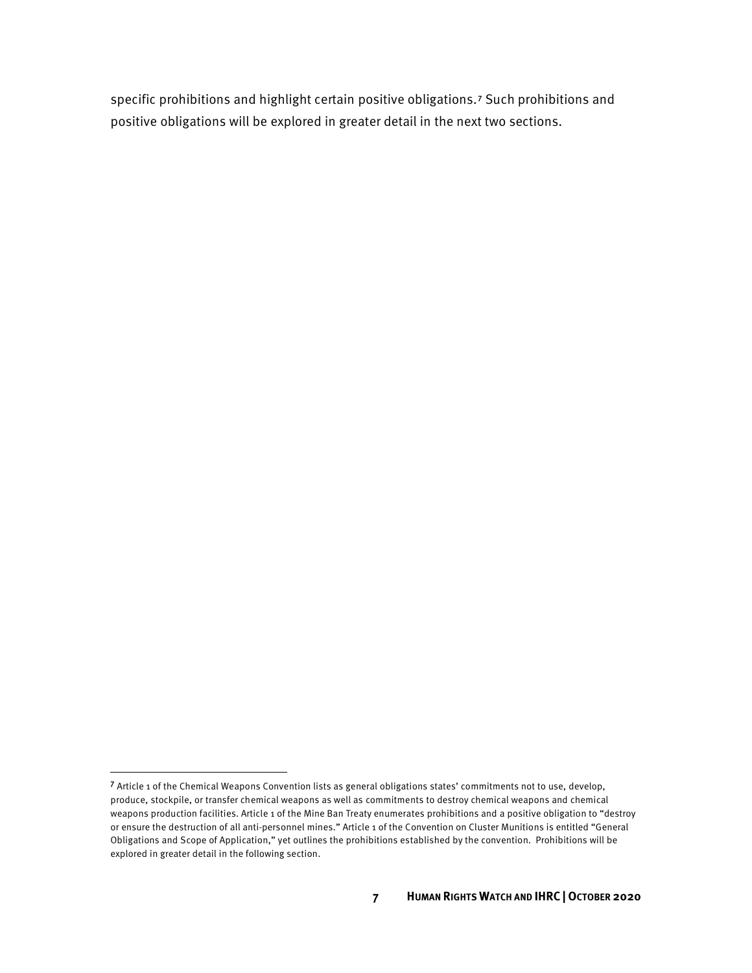specific prohibitions and highlight certain positive obligations.[7](#page-11-0) Such prohibitions and positive obligations will be explored in greater detail in the next two sections.

<span id="page-11-0"></span> produce, stockpile, or transfer chemical weapons as well as commitments to destroy chemical weapons and chemical Obligations and Scope of Application," yet outlines the prohibitions established by the convention. Prohibitions will be <sup>7</sup> Article 1 of the Chemical Weapons Convention lists as general obligations states' commitments not to use, develop, weapons production facilities. Article 1 of the Mine Ban Treaty enumerates prohibitions and a positive obligation to "destroy or ensure the destruction of all anti-personnel mines." Article 1 of the Convention on Cluster Munitions is entitled "General explored in greater detail in the following section.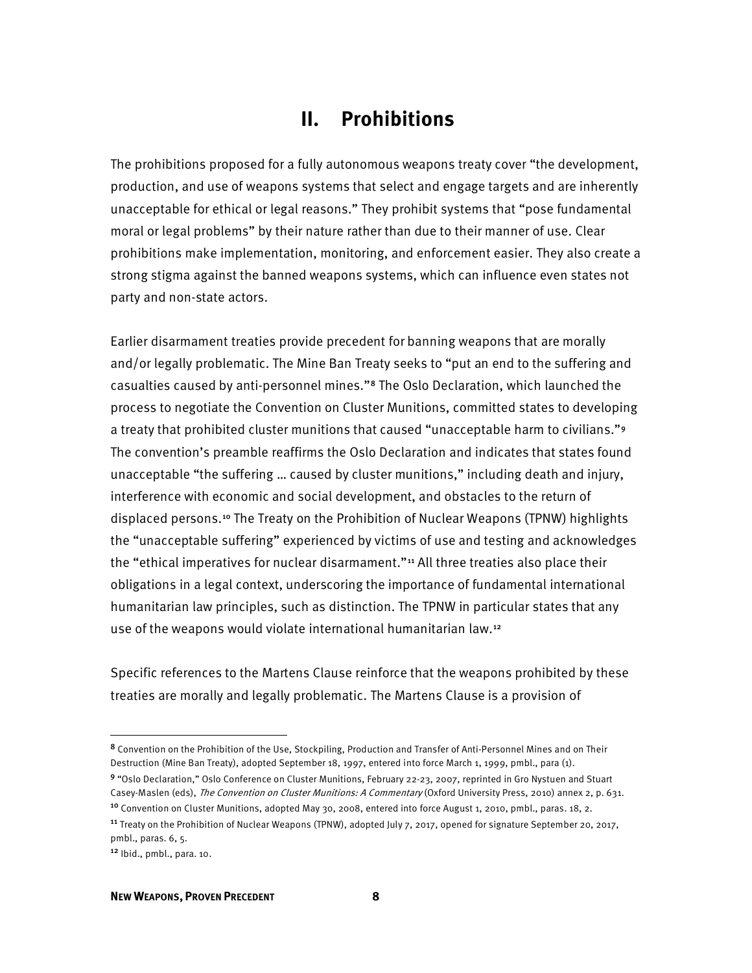# **II. Prohibitions**

The prohibitions proposed for a fully autonomous weapons treaty cover "the development, production, and use of weapons systems that select and engage targets and are inherently unacceptable for ethical or legal reasons." They prohibit systems that "pose fundamental moral or legal problems" by their nature rather than due to their manner of use. Clear prohibitions make implementation, monitoring, and enforcement easier. They also create a strong stigma against the banned weapons systems, which can influence even states not party and non-state actors.

 and/or legally problematic. The Mine Ban Treaty seeks to "put an end to the suffering and casualties caused by anti-personnel mines."[8](#page-12-0) The Oslo Declaration, which launched the humanitarian law principles, such as distinction. The TPNW in particular states that any use of the weapons would violate international humanitarian law.[12](#page-12-4) Earlier disarmament treaties provide precedent for banning weapons that are morally process to negotiate the Convention on Cluster Munitions, committed states to developing a treaty that prohibited cluster munitions that caused "unacceptable harm to civilians."[9](#page-12-1)  The convention's preamble reaffirms the Oslo Declaration and indicates that states found unacceptable "the suffering … caused by cluster munitions," including death and injury, interference with economic and social development, and obstacles to the return of displaced persons.[10](#page-12-2) The Treaty on the Prohibition of Nuclear Weapons (TPNW) highlights the "unacceptable suffering" experienced by victims of use and testing and acknowledges the "ethical imperatives for nuclear disarmament."<sup>[11](#page-12-3)</sup> All three treaties also place their obligations in a legal context, underscoring the importance of fundamental international

 treaties are morally and legally problematic. The Martens Clause is a provision of Specific references to the Martens Clause reinforce that the weapons prohibited by these

<span id="page-12-0"></span><sup>8</sup> Convention on the Prohibition of the Use, Stockpiling, Production and Transfer of Anti-Personnel Mines and on Their Destruction (Mine Ban Treaty), adopted September 18, 1997, entered into force March 1, 1999, pmbl., para (1).

<span id="page-12-1"></span><sup>9</sup> "Oslo Declaration," Oslo Conference on Cluster Munitions, February 22-23, 2007, reprinted in Gro Nystuen and Stuart Casey-Maslen (eds), The Convention on Cluster Munitions: A Commentary (Oxford University Press, 2010) annex 2, p. 631. <sup>10</sup> Convention on Cluster Munitions, adopted May 30, 2008, entered into force August 1, 2010, pmbl., paras. 18, 2.

<span id="page-12-3"></span><span id="page-12-2"></span><sup>&</sup>lt;sup>11</sup> Treaty on the Prohibition of Nuclear Weapons (TPNW), adopted July 7, 2017, opened for signature September 20, 2017, pmbl., paras. 6, 5.

<span id="page-12-4"></span> $12$  Ibid., pmbl., para. 10.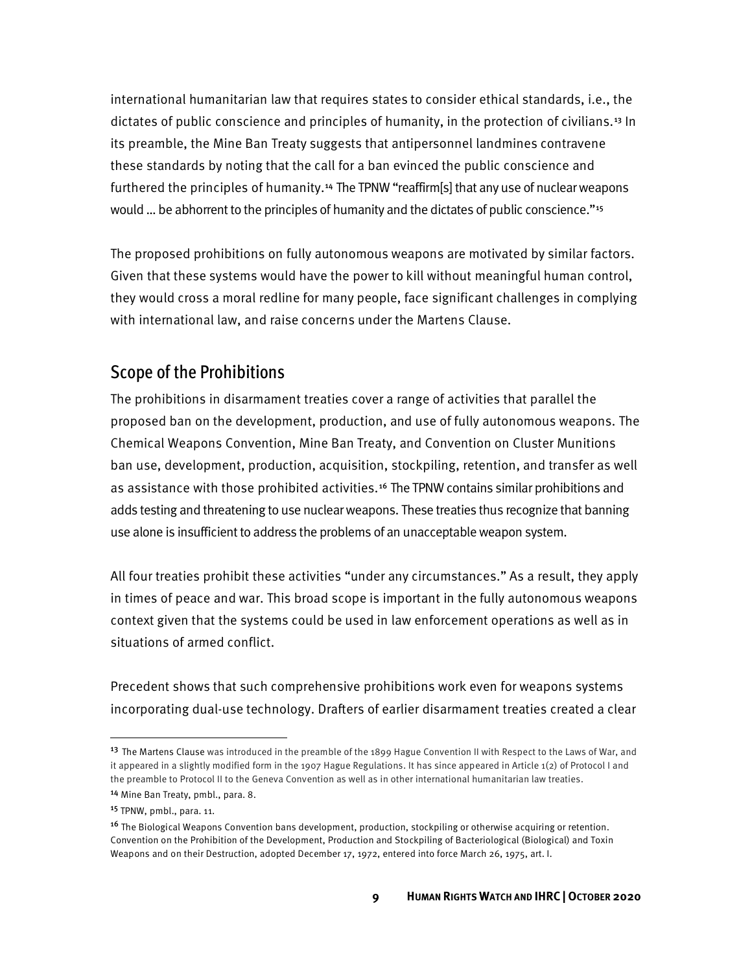these standards by noting that the call for a ban evinced the public conscience and would ... be abhorrent to the principles of humanity and the dictates of public conscience."<sup>15</sup> international humanitarian law that requires states to consider ethical standards, i.e., the dictates of public conscience and principles of humanity, in the protection of civilians.<sup>13</sup> In its preamble, the Mine Ban Treaty suggests that antipersonnel landmines contravene furthered the principles of humanity.<sup>[14](#page-13-1)</sup> The TPNW "reaffirm[s] that any use of nuclear weapons

The proposed prohibitions on fully autonomous weapons are motivated by similar factors. Given that these systems would have the power to kill without meaningful human control, they would cross a moral redline for many people, face significant challenges in complying with international law, and raise concerns under the Martens Clause.

#### Scope of the Prohibitions

as assistance with those prohibited activities.<sup>[16](#page-13-3)</sup> The TPNW contains similar prohibitions and use alone is insufficient to address the problems of an unacceptable weapon system. The prohibitions in disarmament treaties cover a range of activities that parallel the proposed ban on the development, production, and use of fully autonomous weapons. The Chemical Weapons Convention, Mine Ban Treaty, and Convention on Cluster Munitions ban use, development, production, acquisition, stockpiling, retention, and transfer as well adds testing and threatening to use nuclear weapons. These treaties thus recognize that banning

 in times of peace and war. This broad scope is important in the fully autonomous weapons situations of armed conflict. All four treaties prohibit these activities "under any circumstances." As a result, they apply context given that the systems could be used in law enforcement operations as well as in

 incorporating dual-use technology. Drafters of earlier disarmament treaties created a clear Precedent shows that such comprehensive prohibitions work even for weapons systems

<span id="page-13-0"></span><sup>&</sup>lt;sup>13</sup> The Martens Clause was introduced in the preamble of the 1899 Hague Convention II with Respect to the Laws of War, and it appeared in a slightly modified form in the 1907 Hague Regulations. It has since appeared in Article 1(2) of Protocol I and the preamble to Protocol II to the Geneva Convention as well as in other international humanitarian law treaties.

<span id="page-13-1"></span><sup>14</sup> Mine Ban Treaty, pmbl., para. 8.

<span id="page-13-2"></span><sup>15</sup> TPNW, pmbl., para. 11.

<span id="page-13-3"></span><sup>&</sup>lt;sup>16</sup> The Biological Weapons Convention bans development, production, stockpiling or otherwise acquiring or retention. Convention on the Prohibition of the Development, Production and Stockpiling of Bacteriological (Biological) and Toxin Weapons and on their Destruction, adopted December 17, 1972, entered into force March 26, 1975, art. I.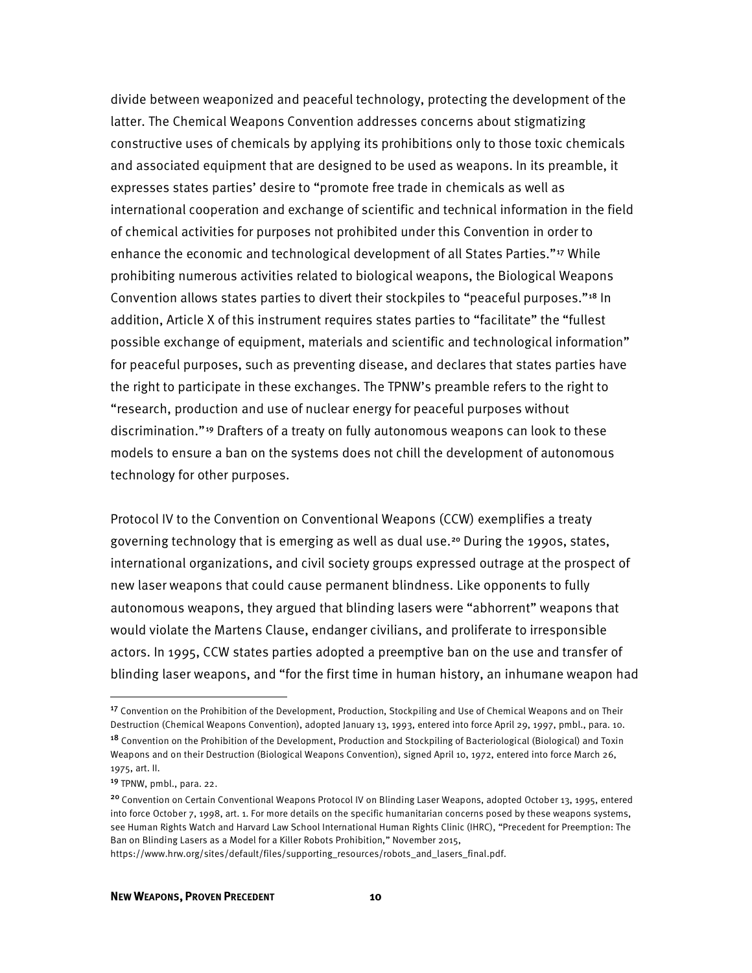constructive uses of chemicals by applying its prohibitions only to those toxic chemicals of chemical activities for purposes not prohibited under this Convention in order to "research, production and use of nuclear energy for peaceful purposes without discrimination."[19](#page-14-2) Drafters of a treaty on fully autonomous weapons can look to these divide between weaponized and peaceful technology, protecting the development of the latter. The Chemical Weapons Convention addresses concerns about stigmatizing and associated equipment that are designed to be used as weapons. In its preamble, it expresses states parties' desire to "promote free trade in chemicals as well as international cooperation and exchange of scientific and technical information in the field enhance the economic and technological development of all States Parties."<sup>17</sup> While prohibiting numerous activities related to biological weapons, the Biological Weapons Convention allows states parties to divert their stockpiles to "peaceful purposes."[18](#page-14-1) In addition, Article X of this instrument requires states parties to "facilitate" the "fullest possible exchange of equipment, materials and scientific and technological information" for peaceful purposes, such as preventing disease, and declares that states parties have the right to participate in these exchanges. The TPNW's preamble refers to the right to models to ensure a ban on the systems does not chill the development of autonomous technology for other purposes.

 Protocol IV to the Convention on Conventional Weapons (CCW) exemplifies a treaty new laser weapons that could cause permanent blindness. Like opponents to fully actors. In 1995, CCW states parties adopted a preemptive ban on the use and transfer of governing technology that is emerging as well as dual use.[20](#page-14-3) During the 1990s, states, international organizations, and civil society groups expressed outrage at the prospect of autonomous weapons, they argued that blinding lasers were "abhorrent" weapons that would violate the Martens Clause, endanger civilians, and proliferate to irresponsible blinding laser weapons, and "for the first time in human history, an inhumane weapon had

<span id="page-14-0"></span> Destruction (Chemical Weapons Convention), adopted January 13, 1993, entered into force April 29, 1997, pmbl., para. 10. <sup>17</sup> Convention on the Prohibition of the Development, Production, Stockpiling and Use of Chemical Weapons and on Their

<span id="page-14-1"></span> 1975, art. II. <sup>18</sup> Convention on the Prohibition of the Development, Production and Stockpiling of Bacteriological (Biological) and Toxin Weapons and on their Destruction (Biological Weapons Convention), signed April 10, 1972, entered into force March 26,

<span id="page-14-2"></span><sup>&</sup>lt;sup>19</sup> TPNW, pmbl., para. 22.

<span id="page-14-3"></span><sup>&</sup>lt;sup>20</sup> Convention on Certain Conventional Weapons Protocol IV on Blinding Laser Weapons, adopted October 13, 1995, entered into force October 7, 1998, art. 1. For more details on the specific humanitarian concerns posed by these weapons systems, see Human Rights Watch and Harvard Law School International Human Rights Clinic (IHRC), "Precedent for Preemption: The Ban on Blinding Lasers as a Model for a Killer Robots Prohibition," November 2015,

https://www.hrw.org/sites/default/files/supporting\_resources/robots\_and\_lasers\_final.pdf.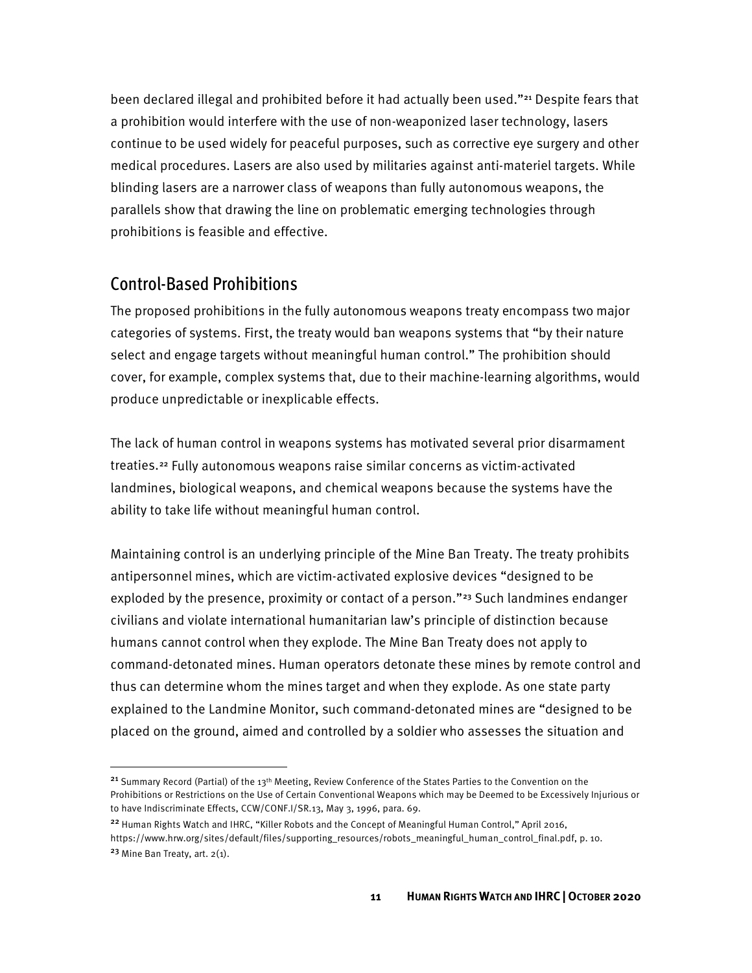continue to be used widely for peaceful purposes, such as corrective eye surgery and other been declared illegal and prohibited before it had actually been used."<sup>[21](#page-15-0)</sup> Despite fears that a prohibition would interfere with the use of non-weaponized laser technology, lasers medical procedures. Lasers are also used by militaries against anti-materiel targets. While blinding lasers are a narrower class of weapons than fully autonomous weapons, the parallels show that drawing the line on problematic emerging technologies through prohibitions is feasible and effective.

#### Control-Based Prohibitions

The proposed prohibitions in the fully autonomous weapons treaty encompass two major categories of systems. First, the treaty would ban weapons systems that "by their nature select and engage targets without meaningful human control." The prohibition should cover, for example, complex systems that, due to their machine-learning algorithms, would produce unpredictable or inexplicable effects.

ability to take life without meaningful human control. The lack of human control in weapons systems has motivated several prior disarmament treaties.[22](#page-15-1) Fully autonomous weapons raise similar concerns as victim-activated landmines, biological weapons, and chemical weapons because the systems have the

 thus can determine whom the mines target and when they explode. As one state party Maintaining control is an underlying principle of the Mine Ban Treaty. The treaty prohibits antipersonnel mines, which are victim-activated explosive devices "designed to be exploded by the presence, proximity or contact of a person."<sup>[23](#page-15-2)</sup> Such landmines endanger civilians and violate international humanitarian law's principle of distinction because humans cannot control when they explode. The Mine Ban Treaty does not apply to command-detonated mines. Human operators detonate these mines by remote control and explained to the Landmine Monitor, such command-detonated mines are "designed to be placed on the ground, aimed and controlled by a soldier who assesses the situation and

<span id="page-15-0"></span><sup>&</sup>lt;sup>21</sup> Summary Record (Partial) of the 13<sup>th</sup> Meeting, Review Conference of the States Parties to the Convention on the Prohibitions or Restrictions on the Use of Certain Conventional Weapons which may be Deemed to be Excessively Injurious or to have Indiscriminate Effects, CCW/CONF.I/SR.13, May 3, 1996, para. 69.

<span id="page-15-1"></span><sup>&</sup>lt;sup>22</sup> Human Rights Watch and IHRC, "Killer Robots and the Concept of Meaningful Human Control," April 2016, https://www.hrw.org/sites/default/files/supporting\_resources/robots\_meaningful\_human\_control\_final.pdf, p. 10.

<span id="page-15-2"></span> $23$  Mine Ban Treaty, art.  $2(1)$ .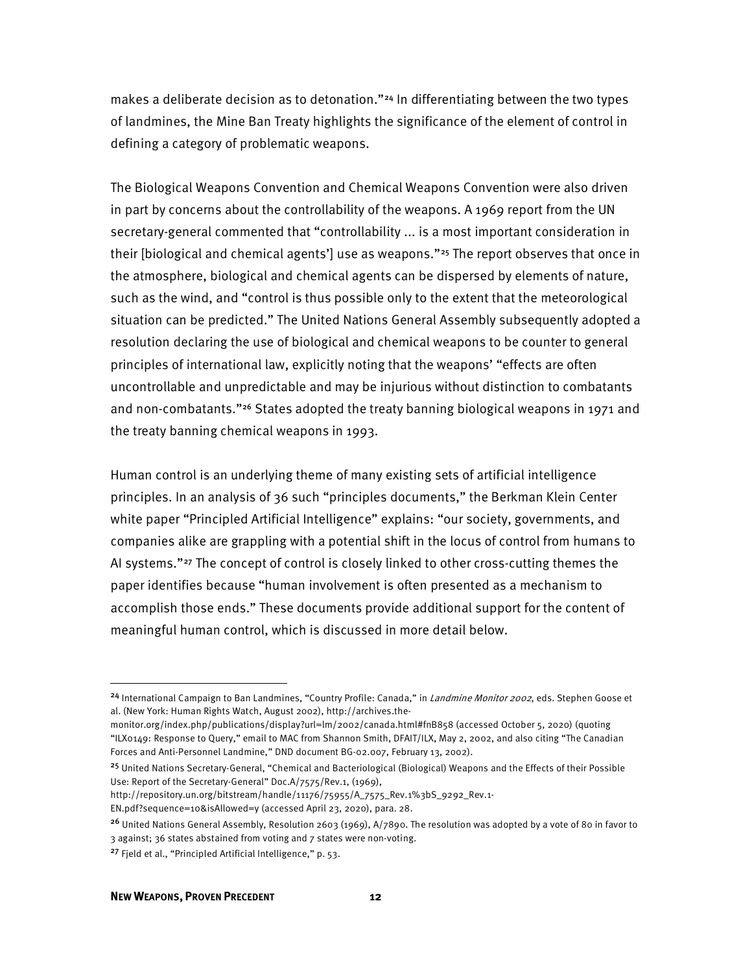makes a deliberate decision as to detonation."<sup>[24](#page-16-0)</sup> In differentiating between the two types of landmines, the Mine Ban Treaty highlights the significance of the element of control in defining a category of problematic weapons.

the treaty banning chemical weapons in 1993. The Biological Weapons Convention and Chemical Weapons Convention were also driven in part by concerns about the controllability of the weapons. A 1969 report from the UN secretary-general commented that "controllability ... is a most important consideration in their [biological and chemical agents'] use as weapons."<sup>25</sup> The report observes that once in the atmosphere, biological and chemical agents can be dispersed by elements of nature, such as the wind, and "control is thus possible only to the extent that the meteorological situation can be predicted." The United Nations General Assembly subsequently adopted a resolution declaring the use of biological and chemical weapons to be counter to general principles of international law, explicitly noting that the weapons' "effects are often uncontrollable and unpredictable and may be injurious without distinction to combatants and non-combatants."[26](#page-16-2) States adopted the treaty banning biological weapons in 1971 and

 accomplish those ends." These documents provide additional support for the content of Human control is an underlying theme of many existing sets of artificial intelligence principles. In an analysis of 36 such "principles documents," the Berkman Klein Center white paper "Principled Artificial Intelligence" explains: "our society, governments, and companies alike are grappling with a potential shift in the locus of control from humans to AI systems."[27](#page-16-3) The concept of control is closely linked to other cross-cutting themes the paper identifies because "human involvement is often presented as a mechanism to meaningful human control, which is discussed in more detail below.

<span id="page-16-0"></span><sup>&</sup>lt;sup>24</sup> International Campaign to Ban Landmines, "Country Profile: Canada," in *Landmine Monitor 2002*, eds. Stephen Goose et al. (New York: Human Rights Watch, August 2002), http://archives.the-

monitor.org/index.php/publications/display?url=lm/2002/canada.html#fnB858 (accessed October 5, 2020) (quoting "ILX0149: Response to Query," email to MAC from Shannon Smith, DFAIT/ILX, May 2, 2002, and also citing "The Canadian Forces and Anti-Personnel Landmine," DND document BG-02.007, February 13, 2002).

<span id="page-16-1"></span><sup>25</sup>United Nations Secretary-General, "Chemical and Bacteriological (Biological) Weapons and the Effects of their Possible Use: Report of the Secretary-General" Doc.A/7575/Rev.1, (1969),

http://repository.un.org/bitstream/handle/11176/75955/A\_7575\_Rev.1%3bS\_9292\_Rev.1-

EN.pdf?sequence=10&isAllowed=y (accessed April 23, 2020), para. 28.

<span id="page-16-2"></span><sup>&</sup>lt;sup>26</sup> United Nations General Assembly, Resolution 2603 (1969), A/7890. The resolution was adopted by a vote of 80 in favor to 3 against; 36 states abstained from voting and 7 states were non-voting.

<span id="page-16-3"></span><sup>&</sup>lt;sup>27</sup> Fjeld et al., "Principled Artificial Intelligence," p. 53.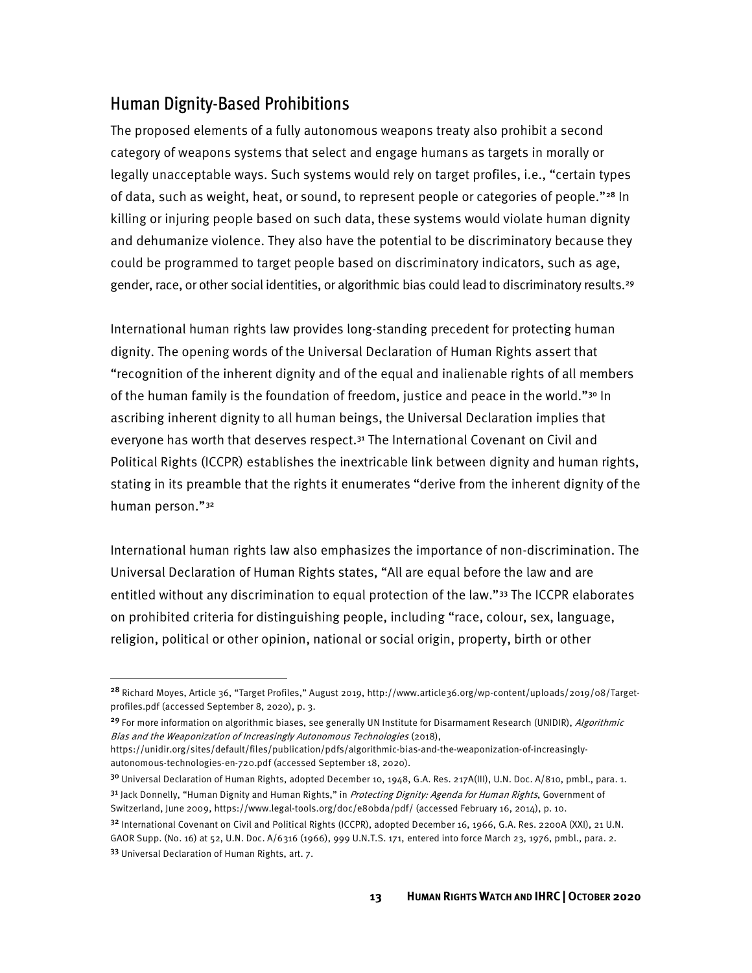#### Human Dignity-Based Prohibitions

 legally unacceptable ways. Such systems would rely on target profiles, i.e., "certain types gender, race, or other social identities, or algorithmic bias could lead to discriminatory results.<sup>29</sup> The proposed elements of a fully autonomous weapons treaty also prohibit a second category of weapons systems that select and engage humans as targets in morally or of data, such as weight, heat, or sound, to represent people or categories of people."<sup>[28](#page-17-0)</sup> In killing or injuring people based on such data, these systems would violate human dignity and dehumanize violence. They also have the potential to be discriminatory because they could be programmed to target people based on discriminatory indicators, such as age,

International human rights law provides long-standing precedent for protecting human dignity. The opening words of the Universal Declaration of Human Rights assert that "recognition of the inherent dignity and of the equal and inalienable rights of all members of the human family is the foundation of freedom, justice and peace in the world."<sup>[30](#page-17-2)</sup> In ascribing inherent dignity to all human beings, the Universal Declaration implies that everyone has worth that deserves respect.<sup>31</sup> The International Covenant on Civil and Political Rights (ICCPR) establishes the inextricable link between dignity and human rights, stating in its preamble that the rights it enumerates "derive from the inherent dignity of the human person."[32](#page-17-4)

International human rights law also emphasizes the importance of non-discrimination. The Universal Declaration of Human Rights states, "All are equal before the law and are entitled without any discrimination to equal protection of the law."[33](#page-17-5) The ICCPR elaborates on prohibited criteria for distinguishing people, including "race, colour, sex, language, religion, political or other opinion, national or social origin, property, birth or other

<span id="page-17-0"></span><sup>&</sup>lt;sup>28</sup> Richard Moyes, Article 36, "Target Profiles," August 2019, http://www.article36.org/wp-content/uploads/2019/08/Targetprofiles.pdf (accessed September 8, 2020), p. 3.

<span id="page-17-1"></span><sup>&</sup>lt;sup>29</sup> For more information on algorithmic biases, see generally UN Institute for Disarmament Research (UNIDIR), Algorithmic Bias and the Weaponization of Increasingly Autonomous Technologies (2018),

https://unidir.org/sites/default/files/publication/pdfs/algorithmic-bias-and-the-weaponization-of-increasinglyautonomous-technologies-en-720.pdf (accessed September 18, 2020).

<span id="page-17-2"></span><sup>&</sup>lt;sup>30</sup> Universal Declaration of Human Rights, adopted December 10, 1948, G.A. Res. 217A(III), U.N. Doc. A/810, pmbl., para. 1.

<span id="page-17-3"></span> Switzerland, June 2009, https://www.legal-tools.org/doc/e80bda/pdf/ (accessed February 16, 2014), p. 10. <sup>31</sup> Jack Donnelly, "Human Dignity and Human Rights," in *Protecting Dignity: Agenda for Human Rights*, Government of

<span id="page-17-5"></span><span id="page-17-4"></span> GAOR Supp. (No. 16) at 52, U.N. Doc. A/6316 (1966), 999 U.N.T.S. 171, entered into force March 23, 1976, pmbl., para. 2. <sup>32</sup> International Covenant on Civil and Political Rights (ICCPR), adopted December 16, 1966, G.A. Res. 2200A (XXI), 21 U.N. 33 Universal Declaration of Human Rights, art. 7.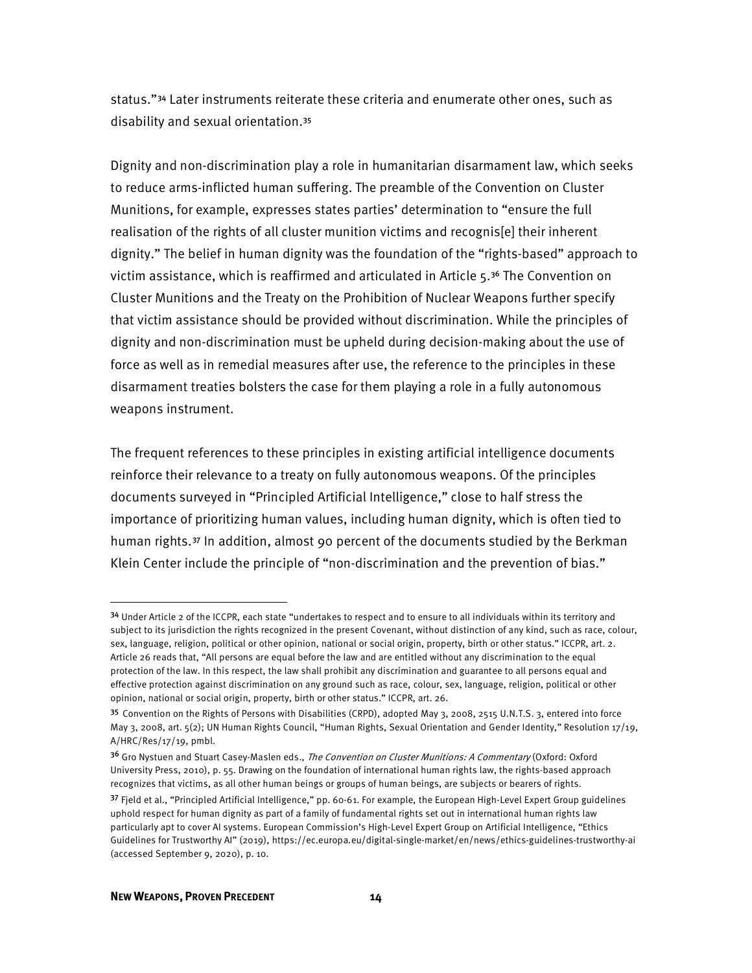disability and sexual orientation.[35](#page-18-1)  status."[34](#page-18-0) Later instruments reiterate these criteria and enumerate other ones, such as

 dignity and non-discrimination must be upheld during decision-making about the use of force as well as in remedial measures after use, the reference to the principles in these Dignity and non-discrimination play a role in humanitarian disarmament law, which seeks to reduce arms-inflicted human suffering. The preamble of the Convention on Cluster Munitions, for example, expresses states parties' determination to "ensure the full realisation of the rights of all cluster munition victims and recognis[e] their inherent dignity." The belief in human dignity was the foundation of the "rights-based" approach to victim assistance, which is reaffirmed and articulated in Article 5.[36](#page-18-2) The Convention on Cluster Munitions and the Treaty on the Prohibition of Nuclear Weapons further specify that victim assistance should be provided without discrimination. While the principles of disarmament treaties bolsters the case for them playing a role in a fully autonomous weapons instrument.

The frequent references to these principles in existing artificial intelligence documents reinforce their relevance to a treaty on fully autonomous weapons. Of the principles documents surveyed in "Principled Artificial Intelligence," close to half stress the importance of prioritizing human values, including human dignity, which is often tied to human rights.[37](#page-18-3) In addition, almost 90 percent of the documents studied by the Berkman Klein Center include the principle of "non-discrimination and the prevention of bias."

<span id="page-18-0"></span><sup>&</sup>lt;sup>34</sup> Under Article 2 of the ICCPR, each state "undertakes to respect and to ensure to all individuals within its territory and subject to its jurisdiction the rights recognized in the present Covenant, without distinction of any kind, such as race, colour, sex, language, religion, political or other opinion, national or social origin, property, birth or other status." ICCPR, art. 2. Article 26 reads that, "All persons are equal before the law and are entitled without any discrimination to the equal protection of the law. In this respect, the law shall prohibit any discrimination and guarantee to all persons equal and effective protection against discrimination on any ground such as race, colour, sex, language, religion, political or other opinion, national or social origin, property, birth or other status." ICCPR, art. 26.

<span id="page-18-1"></span> A/HRC/Res/17/19, pmbl. 35 Convention on the Rights of Persons with Disabilities (CRPD), adopted May 3, 2008, 2515 U.N.T.S. 3, entered into force May 3, 2008, art. 5(2); UN Human Rights Council, "Human Rights, Sexual Orientation and Gender Identity," Resolution 17/19,

<span id="page-18-2"></span><sup>&</sup>lt;sup>36</sup> Gro Nystuen and Stuart Casey-Maslen eds., *The Convention on Cluster Munitions: A Commentary* (Oxford: Oxford University Press, 2010), p. 55. Drawing on the foundation of international human rights law, the rights-based approach recognizes that victims, as all other human beings or groups of human beings, are subjects or bearers of rights.

<span id="page-18-3"></span><sup>37</sup> Fjeld et al., "Principled Artificial Intelligence," pp. 60-61. For example, the European High-Level Expert Group guidelines uphold respect for human dignity as part of a family of fundamental rights set out in international human rights law particularly apt to cover AI systems. European Commission's High-Level Expert Group on Artificial Intelligence, "Ethics Guidelines for Trustworthy AI" (2019), https://ec.europa.eu/digital-single-market/en/news/ethics-guidelines-trustworthy-ai (accessed September 9, 2020), p. 10.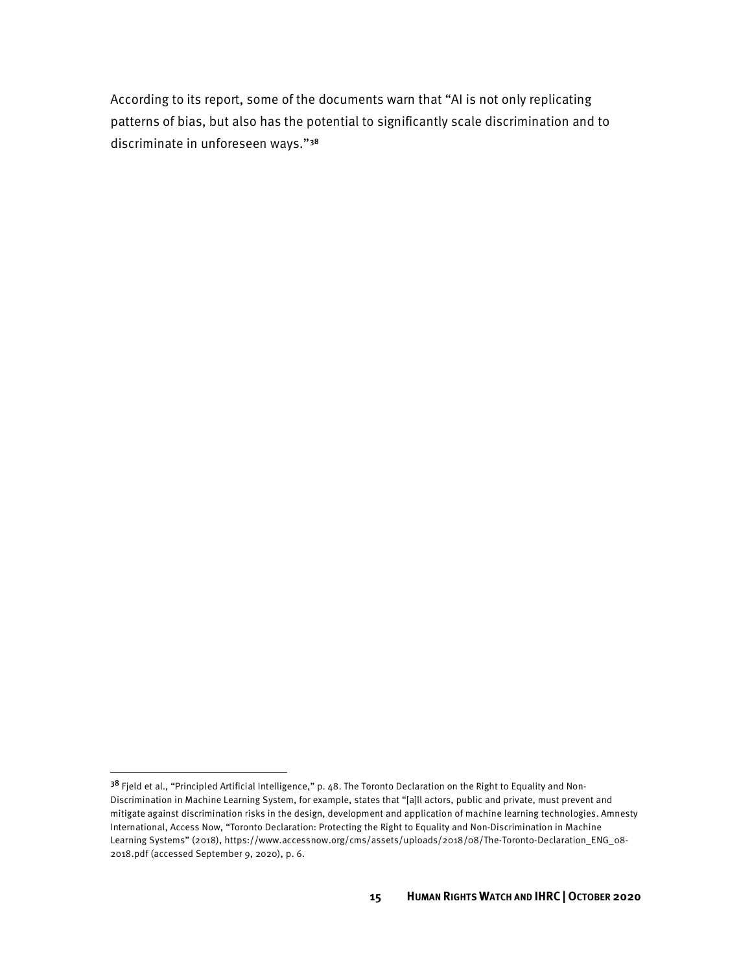According to its report, some of the documents warn that "AI is not only replicating patterns of bias, but also has the potential to significantly scale discrimination and to discriminate in unforeseen ways."[38](#page-19-0) 

<span id="page-19-0"></span><sup>&</sup>lt;sup>38</sup> Fjeld et al., "Principled Artificial Intelligence," p. 48. The Toronto Declaration on the Right to Equality and Non-Discrimination in Machine Learning System, for example, states that "[a]ll actors, public and private, must prevent and mitigate against discrimination risks in the design, development and application of machine learning technologies. Amnesty International, Access Now, "Toronto Declaration: Protecting the Right to Equality and Non-Discrimination in Machine Learning Systems" (2018), https://www.accessnow.org/cms/assets/uploads/2018/08/The-Toronto-Declaration\_ENG\_08- 2018.pdf (accessed September 9, 2020), p. 6.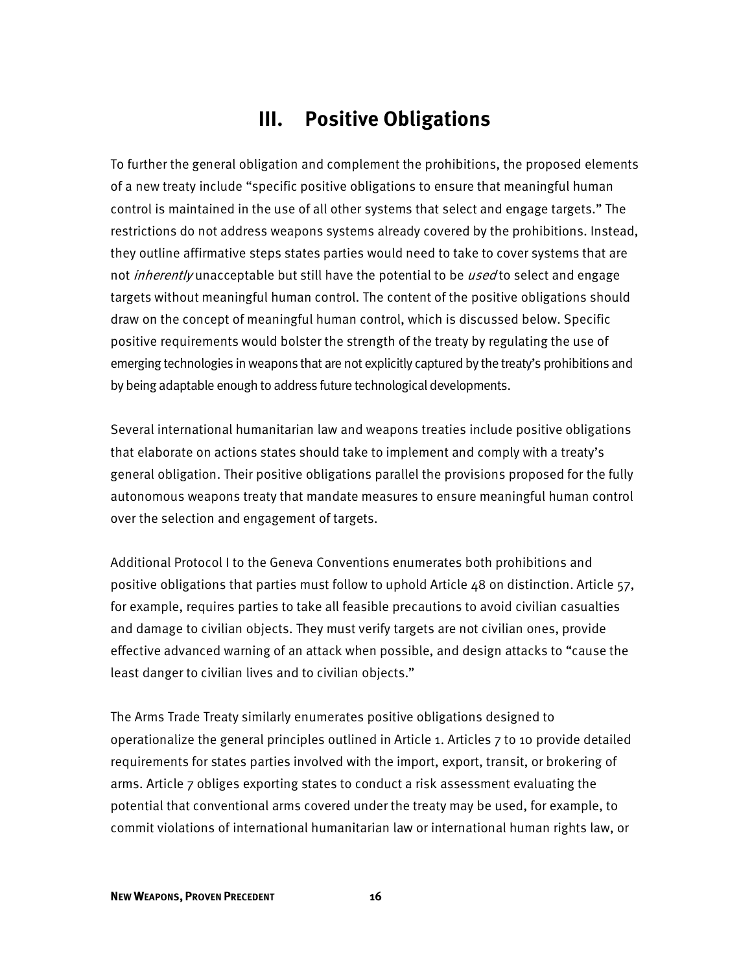# **III. Positive Obligations**

 they outline affirmative steps states parties would need to take to cover systems that are draw on the concept of meaningful human control, which is discussed below. Specific by being adaptable enough to address future technological developments. To further the general obligation and complement the prohibitions, the proposed elements of a new treaty include "specific positive obligations to ensure that meaningful human control is maintained in the use of all other systems that select and engage targets." The restrictions do not address weapons systems already covered by the prohibitions. Instead, not *inherently* unacceptable but still have the potential to be *used* to select and engage targets without meaningful human control. The content of the positive obligations should positive requirements would bolster the strength of the treaty by regulating the use of emerging technologies in weapons that are not explicitly captured by the treaty's prohibitions and

 general obligation. Their positive obligations parallel the provisions proposed for the fully Several international humanitarian law and weapons treaties include positive obligations that elaborate on actions states should take to implement and comply with a treaty's autonomous weapons treaty that mandate measures to ensure meaningful human control over the selection and engagement of targets.

Additional Protocol I to the Geneva Conventions enumerates both prohibitions and positive obligations that parties must follow to uphold Article 48 on distinction. Article 57, for example, requires parties to take all feasible precautions to avoid civilian casualties and damage to civilian objects. They must verify targets are not civilian ones, provide effective advanced warning of an attack when possible, and design attacks to "cause the least danger to civilian lives and to civilian objects."

 The Arms Trade Treaty similarly enumerates positive obligations designed to arms. Article 7 obliges exporting states to conduct a risk assessment evaluating the operationalize the general principles outlined in Article 1. Articles 7 to 10 provide detailed requirements for states parties involved with the import, export, transit, or brokering of potential that conventional arms covered under the treaty may be used, for example, to commit violations of international humanitarian law or international human rights law, or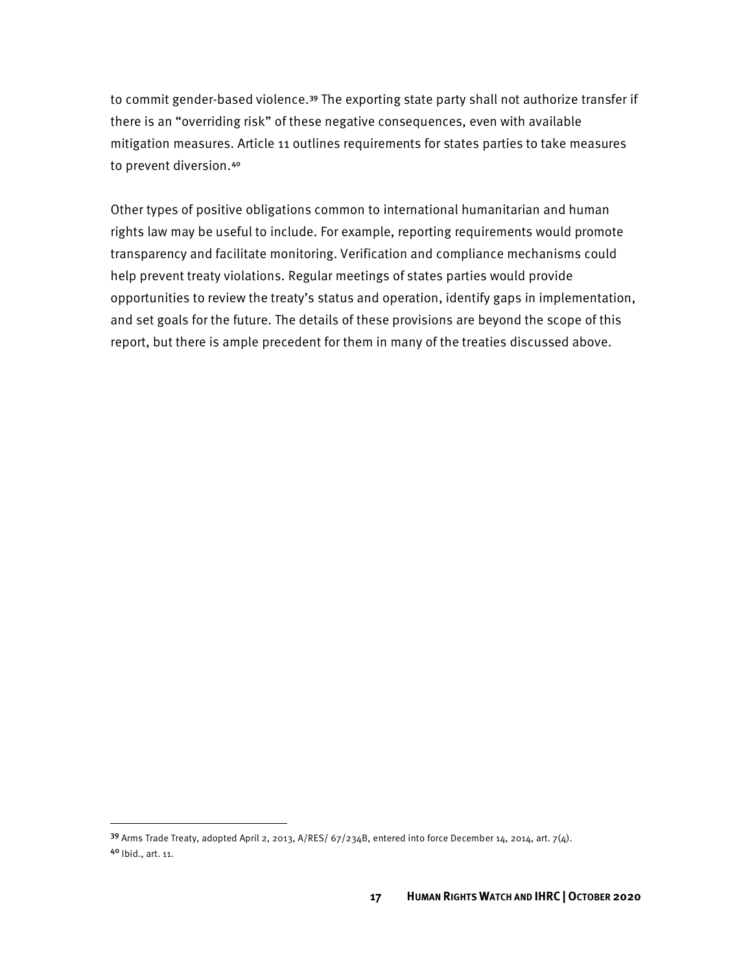to prevent diversion.[40](#page-21-1) to commit gender-based violence.<sup>39</sup> The exporting state party shall not authorize transfer if there is an "overriding risk" of these negative consequences, even with available mitigation measures. Article 11 outlines requirements for states parties to take measures

 Other types of positive obligations common to international humanitarian and human help prevent treaty violations. Regular meetings of states parties would provide and set goals for the future. The details of these provisions are beyond the scope of this rights law may be useful to include. For example, reporting requirements would promote transparency and facilitate monitoring. Verification and compliance mechanisms could opportunities to review the treaty's status and operation, identify gaps in implementation, report, but there is ample precedent for them in many of the treaties discussed above.

<span id="page-21-1"></span><span id="page-21-0"></span><sup>&</sup>lt;sup>39</sup> Arms Trade Treaty, adopted April 2, 2013, A/RES/ 67/234B, entered into force December 14, 2014, art. 7(4). 4<sup>0</sup> Ibid., art. 11.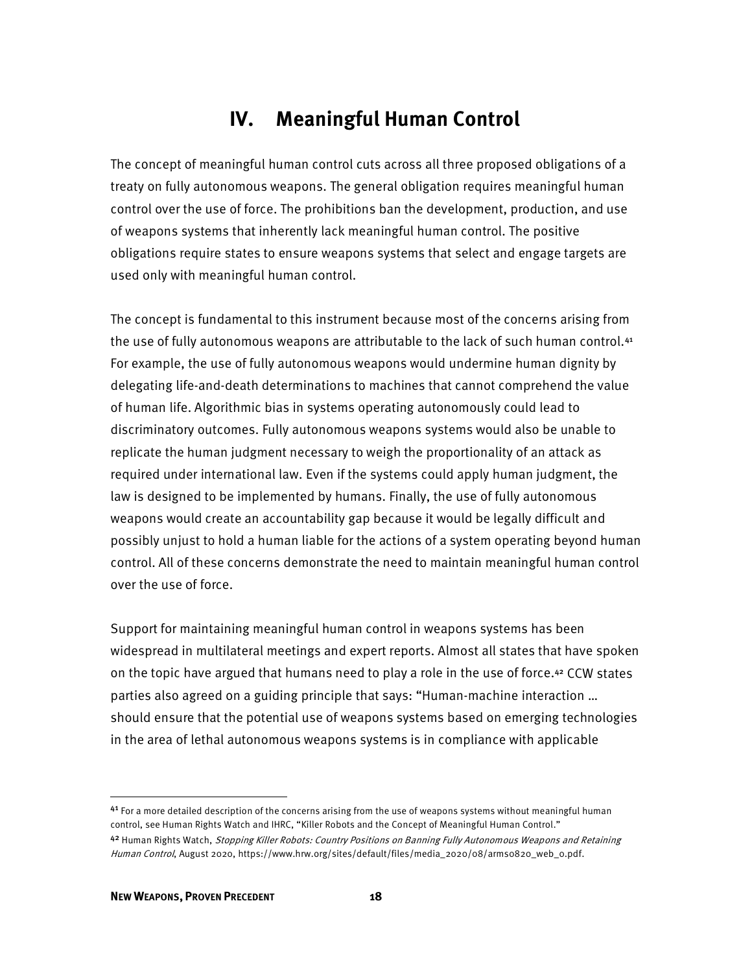# **IV. Meaningful Human Control**

 control over the use of force. The prohibitions ban the development, production, and use The concept of meaningful human control cuts across all three proposed obligations of a treaty on fully autonomous weapons. The general obligation requires meaningful human of weapons systems that inherently lack meaningful human control. The positive obligations require states to ensure weapons systems that select and engage targets are used only with meaningful human control.

 For example, the use of fully autonomous weapons would undermine human dignity by discriminatory outcomes. Fully autonomous weapons systems would also be unable to replicate the human judgment necessary to weigh the proportionality of an attack as The concept is fundamental to this instrument because most of the concerns arising from the use of fully autonomous weapons are attributable to the lack of such human control.<sup>41</sup> delegating life-and-death determinations to machines that cannot comprehend the value of human life. Algorithmic bias in systems operating autonomously could lead to required under international law. Even if the systems could apply human judgment, the law is designed to be implemented by humans. Finally, the use of fully autonomous weapons would create an accountability gap because it would be legally difficult and possibly unjust to hold a human liable for the actions of a system operating beyond human control. All of these concerns demonstrate the need to maintain meaningful human control over the use of force.

 widespread in multilateral meetings and expert reports. Almost all states that have spoken Support for maintaining meaningful human control in weapons systems has been on the topic have argued that humans need to play a role in the use of force.[42](#page-22-1) CCW states parties also agreed on a guiding principle that says: "Human-machine interaction … should ensure that the potential use of weapons systems based on emerging technologies in the area of lethal autonomous weapons systems is in compliance with applicable

<span id="page-22-1"></span><span id="page-22-0"></span> $41$  For a more detailed description of the concerns arising from the use of weapons systems without meaningful human control, see Human Rights Watch and IHRC, "Killer Robots and the Concept of Meaningful Human Control." 42 Human Rights Watch, *Stopping Killer Robots: Country Positions on Banning Fully Autonomous Weapons and Retaining* Human Control, August 2020, https://www.hrw.org/sites/default/files/media\_2020/08/arms0820\_web\_0.pdf.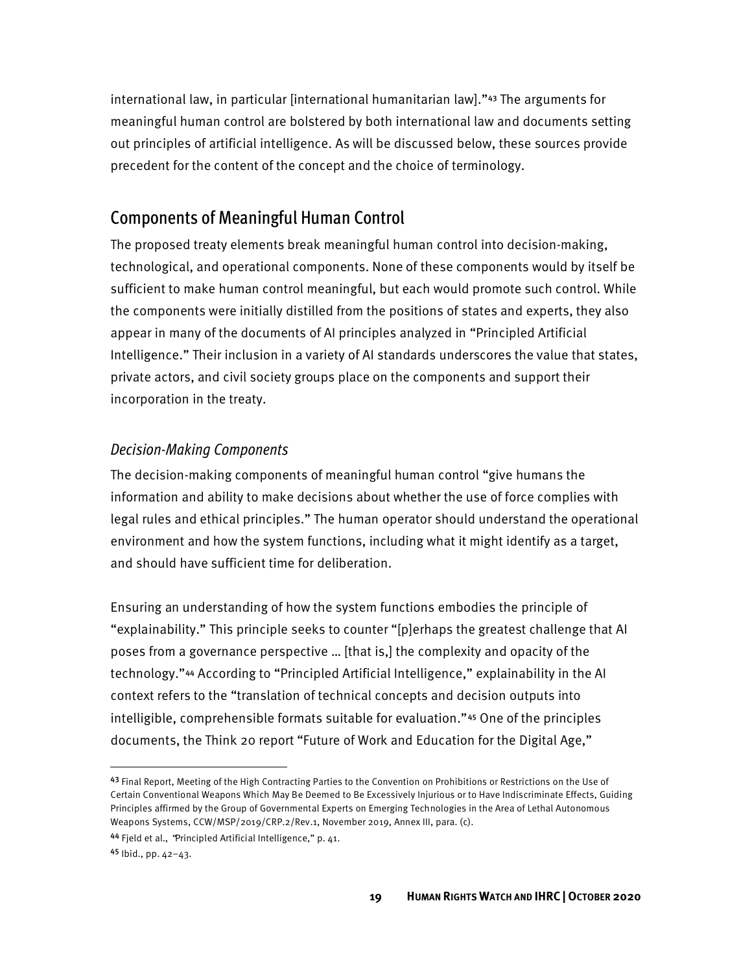international law, in particular [international humanitarian law]."[43](#page-23-0) The arguments for meaningful human control are bolstered by both international law and documents setting out principles of artificial intelligence. As will be discussed below, these sources provide precedent for the content of the concept and the choice of terminology.

#### Components of Meaningful Human Control

 technological, and operational components. None of these components would by itself be sufficient to make human control meaningful, but each would promote such control. While Intelligence." Their inclusion in a variety of AI standards underscores the value that states, The proposed treaty elements break meaningful human control into decision-making, the components were initially distilled from the positions of states and experts, they also appear in many of the documents of AI principles analyzed in "Principled Artificial private actors, and civil society groups place on the components and support their incorporation in the treaty.

#### *Decision-Making Components*

 The decision-making components of meaningful human control "give humans the information and ability to make decisions about whether the use of force complies with legal rules and ethical principles." The human operator should understand the operational environment and how the system functions, including what it might identify as a target, and should have sufficient time for deliberation.

 "explainability." This principle seeks to counter "[p]erhaps the greatest challenge that AI Ensuring an understanding of how the system functions embodies the principle of poses from a governance perspective … [that is,] the complexity and opacity of the technology."[44](#page-23-1) According to "Principled Artificial Intelligence," explainability in the AI context refers to the "translation of technical concepts and decision outputs into intelligible, comprehensible formats suitable for evaluation."[45](#page-23-2) One of the principles documents, the Think 20 report "Future of Work and Education for the Digital Age,"

<span id="page-23-0"></span><sup>43</sup> Final Report, Meeting of the High Contracting Parties to the Convention on Prohibitions or Restrictions on the Use of Certain Conventional Weapons Which May Be Deemed to Be Excessively Injurious or to Have Indiscriminate Effects, Guiding Principles affirmed by the Group of Governmental Experts on Emerging Technologies in the Area of Lethal Autonomous Weapons Systems, CCW/MSP/2019/CRP.2/Rev.1, November 2019, Annex III, para. (c).

<span id="page-23-2"></span><span id="page-23-1"></span><sup>44</sup> Field et al., 'Principled Artificial Intelligence," p. 41.

<sup>45</sup> Ibid., pp. 42-43.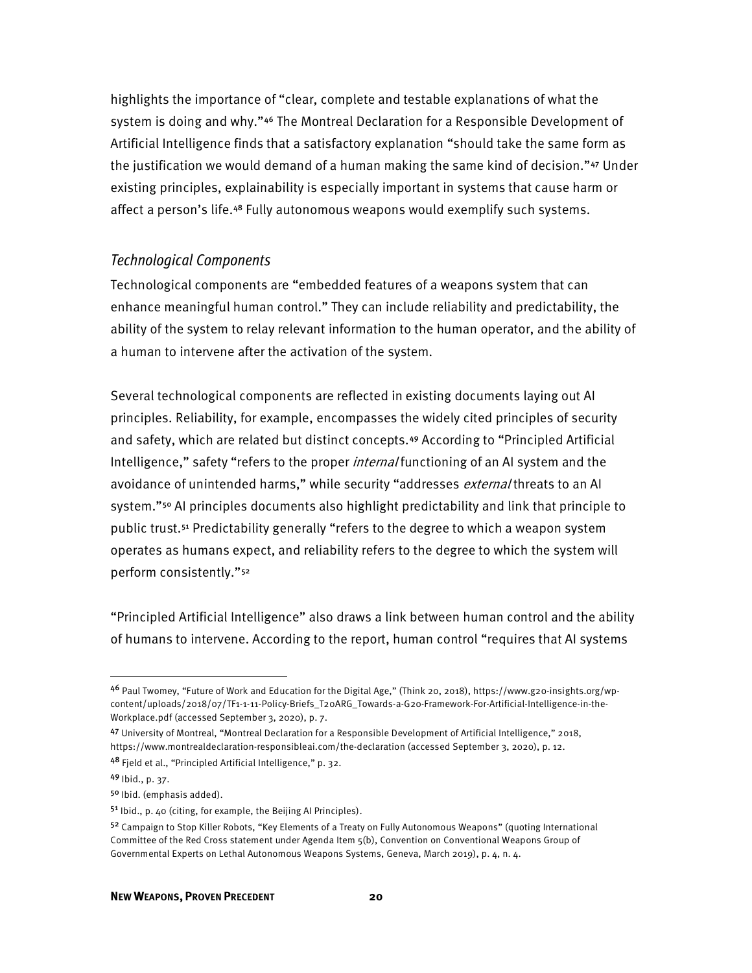highlights the importance of "clear, complete and testable explanations of what the system is doing and why."[46](#page-24-0) The Montreal Declaration for a Responsible Development of Artificial Intelligence finds that a satisfactory explanation "should take the same form as the justification we would demand of a human making the same kind of decision."[47](#page-24-1) Under existing principles, explainability is especially important in systems that cause harm or affect a person's life.[48](#page-24-2) Fully autonomous weapons would exemplify such systems.

#### *Technological Components*

 Technological components are "embedded features of a weapons system that can ability of the system to relay relevant information to the human operator, and the ability of a human to intervene after the activation of the system. enhance meaningful human control." They can include reliability and predictability, the

avoidance of unintended harms," while security "addresses *external* threats to an AI perform consistently."[52](#page-24-6)  Several technological components are reflected in existing documents laying out AI principles. Reliability, for example, encompasses the widely cited principles of security and safety, which are related but distinct concepts.[49](#page-24-3) According to "Principled Artificial Intelligence," safety "refers to the proper *internal* functioning of an AI system and the system."<sup>[50](#page-24-4)</sup> AI principles documents also highlight predictability and link that principle to public trust.[51](#page-24-5) Predictability generally "refers to the degree to which a weapon system operates as humans expect, and reliability refers to the degree to which the system will

 of humans to intervene. According to the report, human control "requires that AI systems "Principled Artificial Intelligence" also draws a link between human control and the ability

<span id="page-24-0"></span><sup>46</sup> Paul Twomey, "Future of Work and Education for the Digital Age," (Think 20, 2018), https://www.g20-insights.org/wpcontent/uploads/2018/07/TF1-1-11-Policy-Briefs\_T20ARG\_Towards-a-G20-Framework-For-Artificial-Intelligence-in-the-Workplace.pdf (accessed September 3, 2020), p. 7.

<span id="page-24-1"></span><sup>47</sup> University of Montreal, "Montreal Declaration for a Responsible Development of Artificial Intelligence," 2018, https://www.montrealdeclaration-responsibleai.com/the-declaration (accessed September 3, 2020), p. 12.

<span id="page-24-2"></span><sup>4&</sup>lt;sup>8</sup> Fjeld et al., "Principled Artificial Intelligence," p. 32.

<span id="page-24-3"></span><sup>49</sup> Ibid., p. 37.

<span id="page-24-4"></span><sup>5&</sup>lt;sup>0</sup> Ibid. (emphasis added).

<span id="page-24-5"></span><sup>&</sup>lt;sup>51</sup> Ibid., p. 40 (citing, for example, the Beijing AI Principles).

<span id="page-24-6"></span><sup>52</sup> Campaign to Stop Killer Robots, "Key Elements of a Treaty on Fully Autonomous Weapons" (quoting International Committee of the Red Cross statement under Agenda Item 5(b), Convention on Conventional Weapons Group of Governmental Experts on Lethal Autonomous Weapons Systems, Geneva, March 2019), p. 4, n. 4.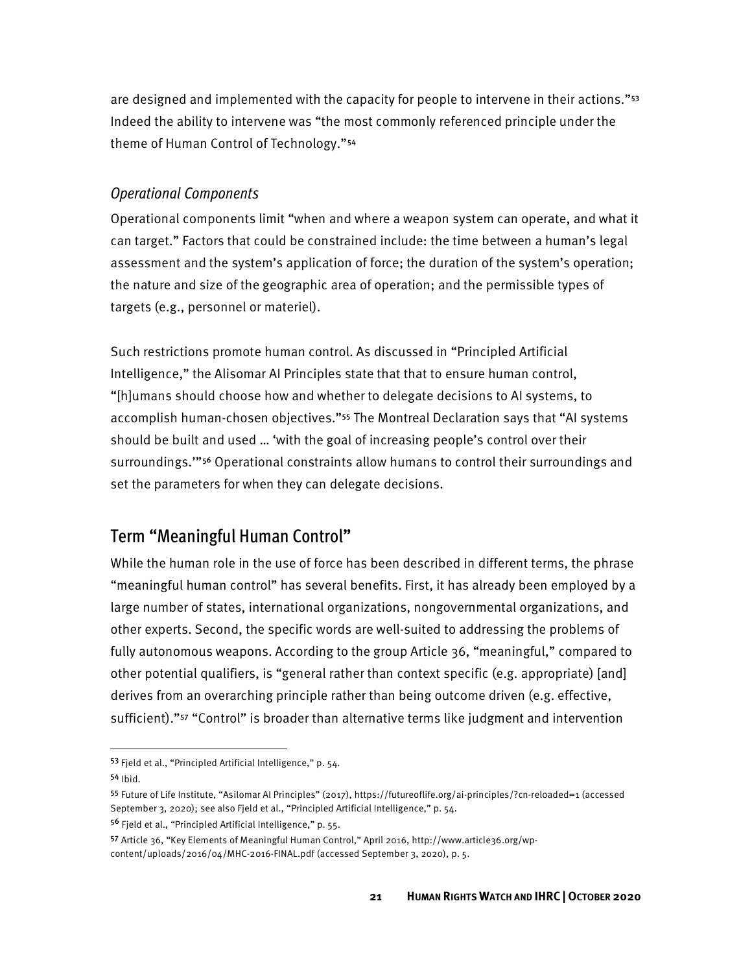are designed and implemented with the capacity for people to intervene in their actions."[53](#page-25-0)  Indeed the ability to intervene was "the most commonly referenced principle under the theme of Human Control of Technology."[54](#page-25-1) 

#### *Operational Components*

 can target." Factors that could be constrained include: the time between a human's legal Operational components limit "when and where a weapon system can operate, and what it assessment and the system's application of force; the duration of the system's operation; the nature and size of the geographic area of operation; and the permissible types of targets (e.g., personnel or materiel).

 Intelligence," the Alisomar AI Principles state that that to ensure human control, set the parameters for when they can delegate decisions. Such restrictions promote human control. As discussed in "Principled Artificial "[h]umans should choose how and whether to delegate decisions to AI systems, to accomplish human-chosen objectives."[55](#page-25-2) The Montreal Declaration says that "AI systems should be built and used … 'with the goal of increasing people's control over their surroundings.'"[56](#page-25-3) Operational constraints allow humans to control their surroundings and

#### Term "Meaningful Human Control"

While the human role in the use of force has been described in different terms, the phrase "meaningful human control" has several benefits. First, it has already been employed by a large number of states, international organizations, nongovernmental organizations, and other experts. Second, the specific words are well-suited to addressing the problems of fully autonomous weapons. According to the group Article 36, "meaningful," compared to other potential qualifiers, is "general rather than context specific (e.g. appropriate) [and] derives from an overarching principle rather than being outcome driven (e.g. effective, sufficient)."[57](#page-25-4) "Control" is broader than alternative terms like judgment and intervention

<span id="page-25-0"></span><sup>53</sup> Fjeld et al., "Principled Artificial Intelligence," p. 54.

 <sup>54</sup> Ibid.

<span id="page-25-2"></span><span id="page-25-1"></span><sup>55</sup> Future of Life Institute, "Asilomar AI Principles" (2017), https://futureoflife.org/ai-principles/?cn-reloaded=1 (accessed September 3, 2020); see also Fjeld et al., "Principled Artificial Intelligence," p. 54.

<span id="page-25-3"></span><sup>56</sup> Fjeld et al., "Principled Artificial Intelligence," p. 55.

<span id="page-25-4"></span><sup>57</sup> Article 36, "Key Elements of Meaningful Human Control," April 2016, http://www.article36.org/wp-

 content/uploads/2016/04/MHC-2016-FINAL.pdf (accessed September 3, 2020), p. 5.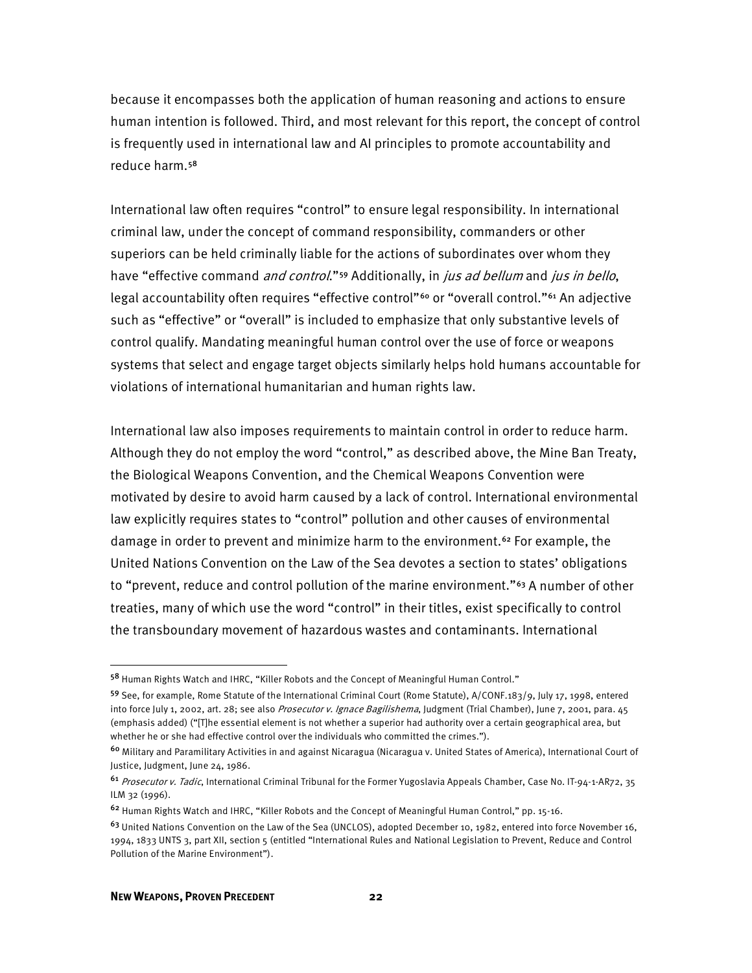because it encompasses both the application of human reasoning and actions to ensure human intention is followed. Third, and most relevant for this report, the concept of control is frequently used in international law and AI principles to promote accountability and reduce harm.[58](#page-26-0) 

 criminal law, under the concept of command responsibility, commanders or other International law often requires "control" to ensure legal responsibility. In international superiors can be held criminally liable for the actions of subordinates over whom they have "effective command and control."<sup>59</sup> Additionally, in *jus ad bellum* and *jus in bello*, legal accountability often requires "effective control"<sup>60</sup> or "overall control."<sup>[61](#page-26-3)</sup> An adjective such as "effective" or "overall" is included to emphasize that only substantive levels of control qualify. Mandating meaningful human control over the use of force or weapons systems that select and engage target objects similarly helps hold humans accountable for violations of international humanitarian and human rights law.

 treaties, many of which use the word "control" in their titles, exist specifically to control the transboundary movement of hazardous wastes and contaminants. International International law also imposes requirements to maintain control in order to reduce harm. Although they do not employ the word "control," as described above, the Mine Ban Treaty, the Biological Weapons Convention, and the Chemical Weapons Convention were motivated by desire to avoid harm caused by a lack of control. International environmental law explicitly requires states to "control" pollution and other causes of environmental damage in order to prevent and minimize harm to the environment.<sup>[62](#page-26-4)</sup> For example, the United Nations Convention on the Law of the Sea devotes a section to states' obligations to "prevent, reduce and control pollution of the marine environment."<sup>[63](#page-26-5)</sup> A number of other

<span id="page-26-0"></span><sup>58</sup> Human Rights Watch and IHRC, "Killer Robots and the Concept of Meaningful Human Control."

<span id="page-26-1"></span><sup>59</sup> See, for example, Rome Statute of the International Criminal Court (Rome Statute), A/CONF.183/9, July 17, 1998, entered into force July 1, 2002, art. 28; see also Prosecutor v. Ignace Bagilishema, Judgment (Trial Chamber), June 7, 2001, para. 45 (emphasis added) ("[T]he essential element is not whether a superior had authority over a certain geographical area, but whether he or she had effective control over the individuals who committed the crimes.").

<span id="page-26-2"></span><sup>60</sup> Military and Paramilitary Activities in and against Nicaragua (Nicaragua v. United States of America), International Court of Justice, Judgment, June 24, 1986.

<span id="page-26-3"></span><sup>61</sup> Prosecutor v. Tadic, International Criminal Tribunal for the Former Yugoslavia Appeals Chamber, Case No. IT-94-1-AR72, 35 ILM 32 (1996).

<span id="page-26-4"></span><sup>&</sup>lt;sup>62</sup> Human Rights Watch and IHRC, "Killer Robots and the Concept of Meaningful Human Control," pp. 15-16.

<span id="page-26-5"></span> $63$  United Nations Convention on the Law of the Sea (UNCLOS), adopted December 10, 1982, entered into force November 16, 1994, 1833 UNTS 3, part XII, section 5 (entitled "International Rules and National Legislation to Prevent, Reduce and Control Pollution of the Marine Environment").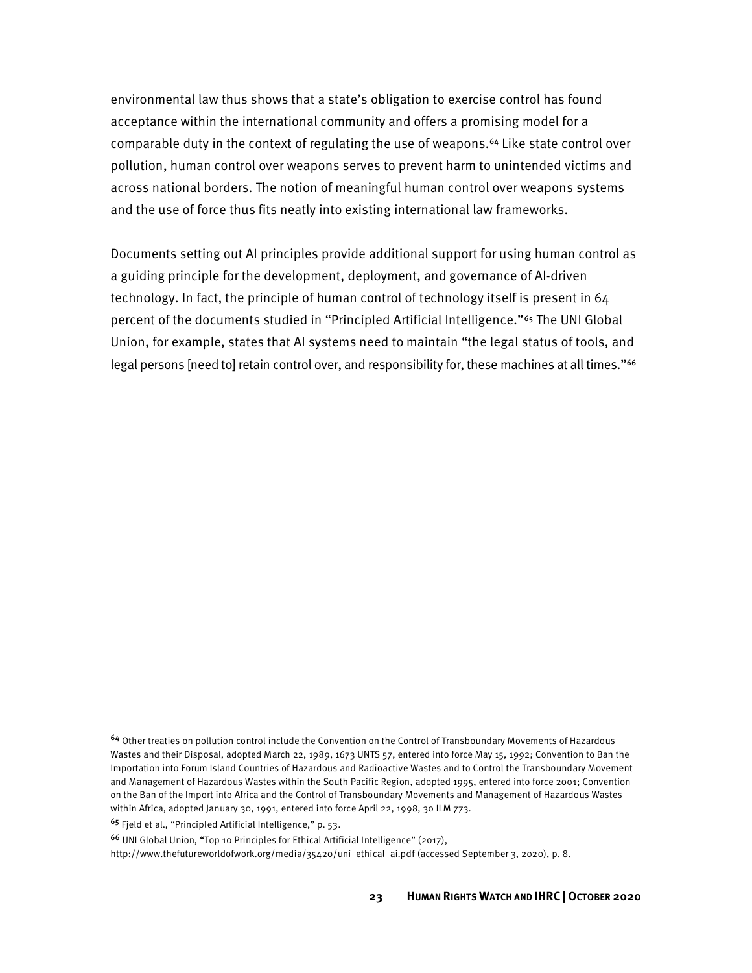environmental law thus shows that a state's obligation to exercise control has found acceptance within the international community and offers a promising model for a comparable duty in the context of regulating the use of weapons.<sup>[64](#page-27-0)</sup> Like state control over pollution, human control over weapons serves to prevent harm to unintended victims and across national borders. The notion of meaningful human control over weapons systems and the use of force thus fits neatly into existing international law frameworks.

 Documents setting out AI principles provide additional support for using human control as a guiding principle for the development, deployment, and governance of AI-driven technology. In fact, the principle of human control of technology itself is present in 64 percent of the documents studied in "Principled Artificial Intelligence."[65](#page-27-1) The UNI Global Union, for example, states that AI systems need to maintain "the legal status of tools, and legal persons [need to] retain control over, and responsibility for, these machines at all times."<sup>[66](#page-27-2)</sup>

<span id="page-27-0"></span><sup>64</sup> Other treaties on pollution control include the Convention on the Control of Transboundary Movements of Hazardous Wastes and their Disposal, adopted March 22, 1989, 1673 UNTS 57, entered into force May 15, 1992; Convention to Ban the Importation into Forum Island Countries of Hazardous and Radioactive Wastes and to Control the Transboundary Movement and Management of Hazardous Wastes within the South Pacific Region, adopted 1995, entered into force 2001; Convention on the Ban of the Import into Africa and the Control of Transboundary Movements and Management of Hazardous Wastes within Africa, adopted January 30, 1991, entered into force April 22, 1998, 30 ILM 773.

<span id="page-27-1"></span><sup>&</sup>lt;sup>65</sup> Fjeld et al., "Principled Artificial Intelligence," p. 53.

<span id="page-27-2"></span><sup>66</sup>UNI Global Union, "Top 10 Principles for Ethical Artificial Intelligence" (2017),

 http://www.thefutureworldofwork.org/media/35420/uni\_ethical\_ai.pdf (accessed September 3, 2020), p. 8.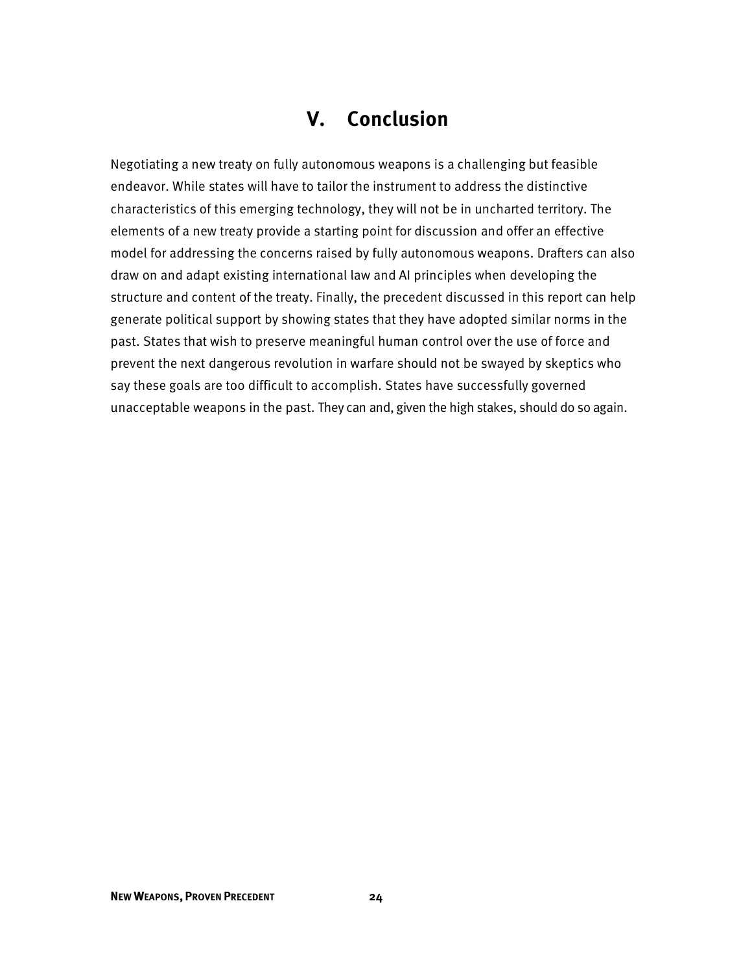# **V. Conclusion**

 say these goals are too difficult to accomplish. States have successfully governed unacceptable weapons in the past. They can and, given the high stakes, should do so again. Negotiating a new treaty on fully autonomous weapons is a challenging but feasible endeavor. While states will have to tailor the instrument to address the distinctive characteristics of this emerging technology, they will not be in uncharted territory. The elements of a new treaty provide a starting point for discussion and offer an effective model for addressing the concerns raised by fully autonomous weapons. Drafters can also draw on and adapt existing international law and AI principles when developing the structure and content of the treaty. Finally, the precedent discussed in this report can help generate political support by showing states that they have adopted similar norms in the past. States that wish to preserve meaningful human control over the use of force and prevent the next dangerous revolution in warfare should not be swayed by skeptics who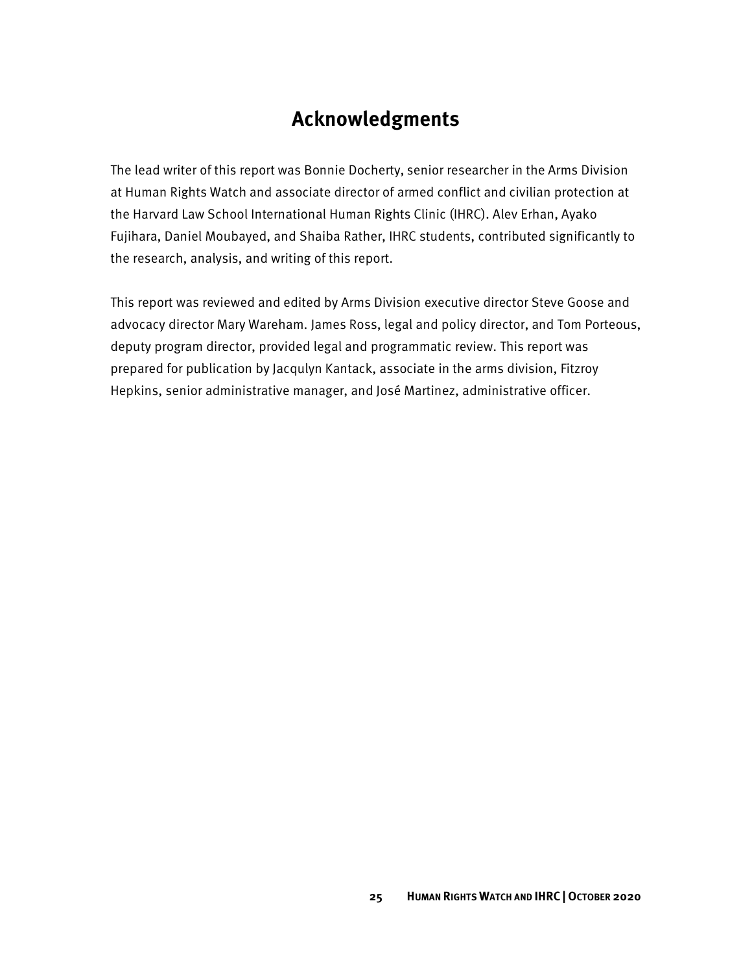## **Acknowledgments**

The lead writer of this report was Bonnie Docherty, senior researcher in the Arms Division at Human Rights Watch and associate director of armed conflict and civilian protection at the Harvard Law School International Human Rights Clinic (IHRC). Alev Erhan, Ayako Fujihara, Daniel Moubayed, and Shaiba Rather, IHRC students, contributed significantly to the research, analysis, and writing of this report.

This report was reviewed and edited by Arms Division executive director Steve Goose and advocacy director Mary Wareham. James Ross, legal and policy director, and Tom Porteous, deputy program director, provided legal and programmatic review. This report was prepared for publication by Jacqulyn Kantack, associate in the arms division, Fitzroy Hepkins, senior administrative manager, and José Martinez, administrative officer.